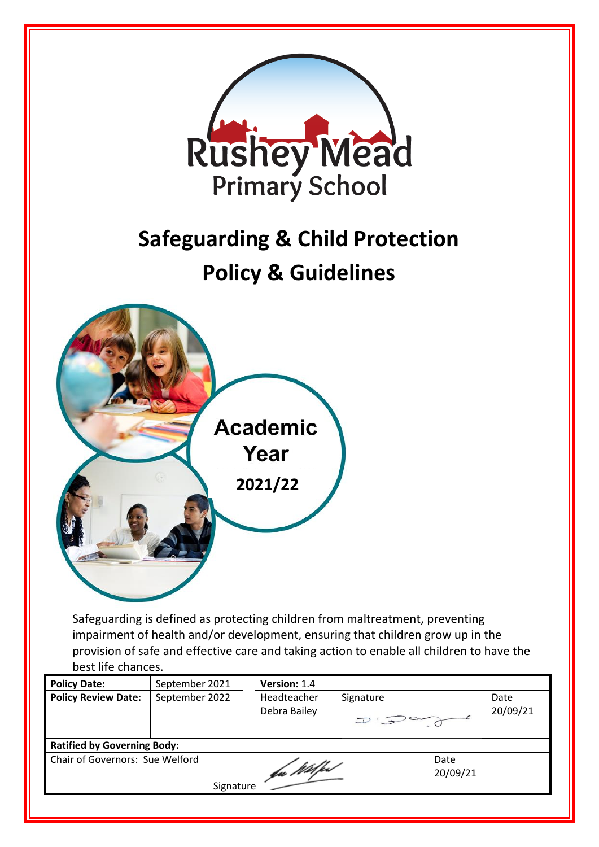

best life chances.

| <b>Policy Date:</b>                | September 2021 |           | Version: 1.4                |           |                  |                  |
|------------------------------------|----------------|-----------|-----------------------------|-----------|------------------|------------------|
| <b>Policy Review Date:</b>         | September 2022 |           | Headteacher<br>Debra Bailey | Signature |                  | Date<br>20/09/21 |
| <b>Ratified by Governing Body:</b> |                |           |                             |           |                  |                  |
| Chair of Governors: Sue Welford    |                | Signature | fa Wilfest                  |           | Date<br>20/09/21 |                  |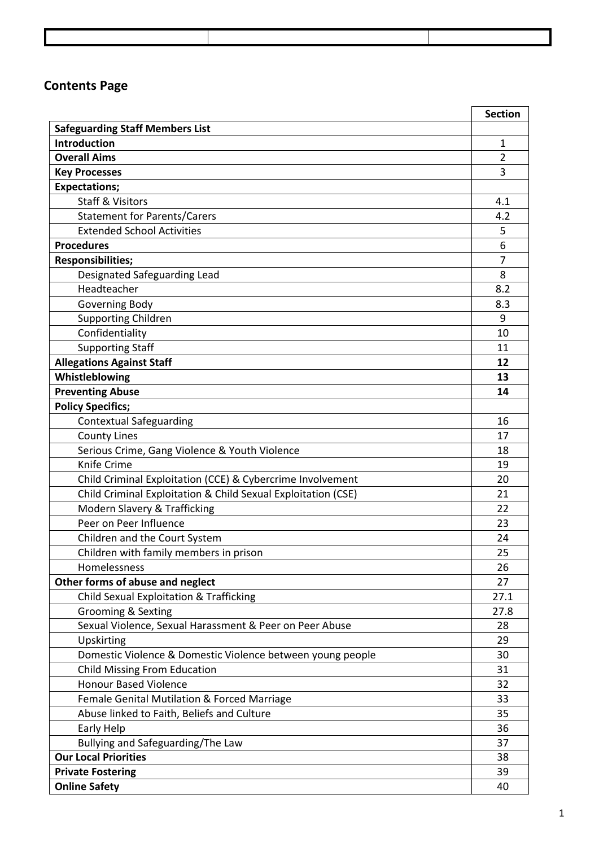# **Contents Page**

|                                                                             | <b>Section</b> |
|-----------------------------------------------------------------------------|----------------|
| <b>Safeguarding Staff Members List</b>                                      |                |
| <b>Introduction</b>                                                         | 1              |
| <b>Overall Aims</b>                                                         | $\overline{2}$ |
| <b>Key Processes</b>                                                        | 3              |
| <b>Expectations;</b>                                                        |                |
| <b>Staff &amp; Visitors</b>                                                 | 4.1            |
| <b>Statement for Parents/Carers</b>                                         | 4.2            |
| <b>Extended School Activities</b>                                           | 5              |
| <b>Procedures</b>                                                           | 6              |
| <b>Responsibilities;</b>                                                    | $\overline{7}$ |
| Designated Safeguarding Lead                                                | 8              |
| Headteacher                                                                 | 8.2            |
| Governing Body                                                              | 8.3            |
| <b>Supporting Children</b>                                                  | 9              |
| Confidentiality                                                             | 10             |
| <b>Supporting Staff</b>                                                     | 11             |
| <b>Allegations Against Staff</b>                                            | 12             |
| Whistleblowing                                                              | 13             |
| <b>Preventing Abuse</b>                                                     | 14             |
| <b>Policy Specifics;</b>                                                    |                |
| <b>Contextual Safeguarding</b>                                              | 16             |
| <b>County Lines</b>                                                         | 17             |
| Serious Crime, Gang Violence & Youth Violence                               | 18             |
| Knife Crime                                                                 | 19             |
| Child Criminal Exploitation (CCE) & Cybercrime Involvement                  | 20             |
| Child Criminal Exploitation & Child Sexual Exploitation (CSE)               | 21             |
| Modern Slavery & Trafficking                                                | 22             |
| Peer on Peer Influence                                                      | 23             |
| Children and the Court System<br>Children with family members in prison     | 24<br>25       |
| Homelessness                                                                |                |
|                                                                             | 26<br>27       |
| Other forms of abuse and neglect<br>Child Sexual Exploitation & Trafficking | 27.1           |
| <b>Grooming &amp; Sexting</b>                                               | 27.8           |
| Sexual Violence, Sexual Harassment & Peer on Peer Abuse                     | 28             |
| Upskirting                                                                  | 29             |
| Domestic Violence & Domestic Violence between young people                  | 30             |
| <b>Child Missing From Education</b>                                         | 31             |
| <b>Honour Based Violence</b>                                                | 32             |
| Female Genital Mutilation & Forced Marriage                                 | 33             |
| Abuse linked to Faith, Beliefs and Culture                                  | 35             |
| Early Help                                                                  | 36             |
| Bullying and Safeguarding/The Law                                           | 37             |
| <b>Our Local Priorities</b>                                                 | 38             |
| <b>Private Fostering</b>                                                    | 39             |
| <b>Online Safety</b>                                                        | 40             |
|                                                                             |                |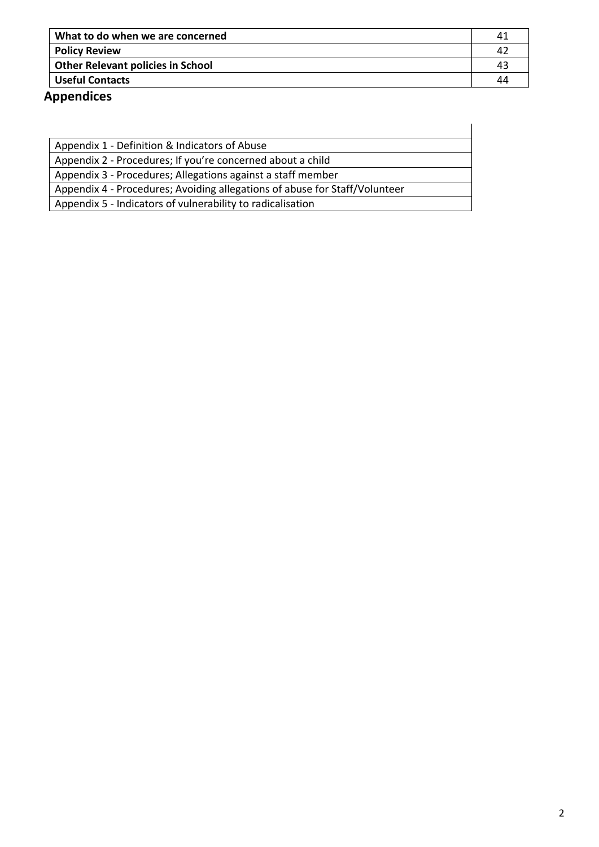| What to do when we are concerned         |  |
|------------------------------------------|--|
| <b>Policy Review</b>                     |  |
| <b>Other Relevant policies in School</b> |  |
| <b>Useful Contacts</b>                   |  |

# **Appendices**

| Appendix 1 - Definition & Indicators of Abuse                              |
|----------------------------------------------------------------------------|
| Appendix 2 - Procedures; If you're concerned about a child                 |
| Appendix 3 - Procedures; Allegations against a staff member                |
| Appendix 4 - Procedures; Avoiding allegations of abuse for Staff/Volunteer |
| Appendix 5 - Indicators of vulnerability to radicalisation                 |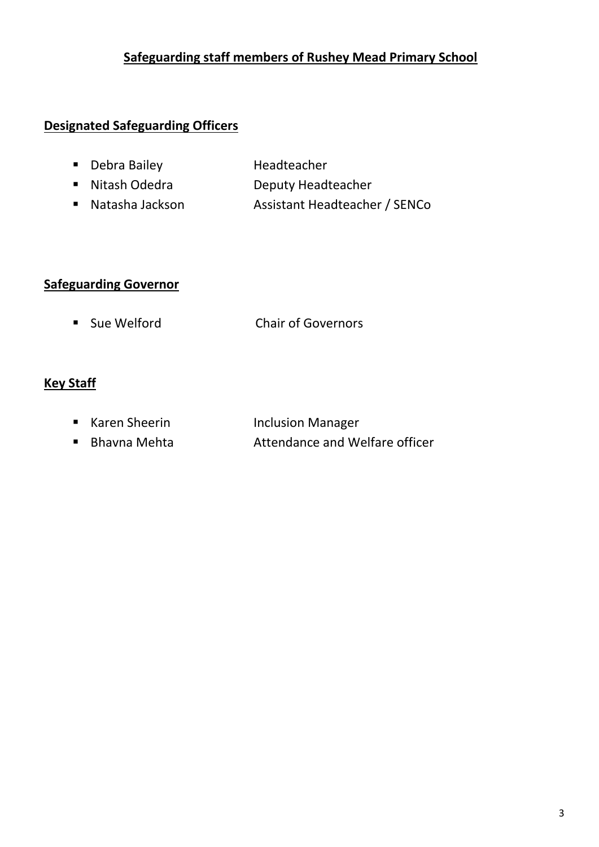## **Safeguarding staff members of Rushey Mead Primary School**

## **Designated Safeguarding Officers**

- Debra Bailey **Headteacher**
- Nitash Odedra Deputy Headteacher
- Natasha Jackson Assistant Headteacher / SENCo

## **Safeguarding Governor**

■ Sue Welford Chair of Governors

## **Key Staff**

- Karen Sheerin Inclusion Manager
- Bhavna Mehta Attendance and Welfare officer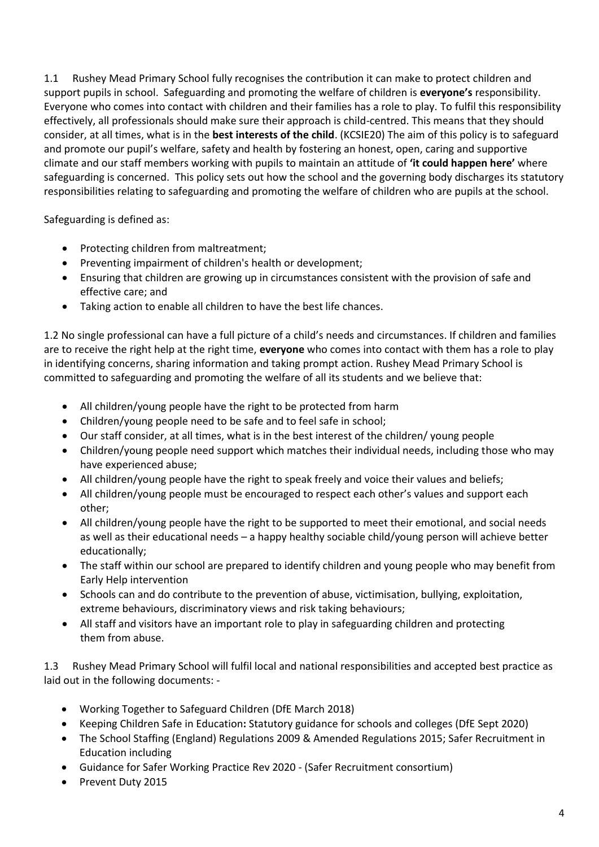1.1 Rushey Mead Primary School fully recognises the contribution it can make to protect children and support pupils in school. Safeguarding and promoting the welfare of children is **everyone's** responsibility. Everyone who comes into contact with children and their families has a role to play. To fulfil this responsibility effectively, all professionals should make sure their approach is child-centred. This means that they should consider, at all times, what is in the **best interests of the child**. (KCSIE20) The aim of this policy is to safeguard and promote our pupil's welfare, safety and health by fostering an honest, open, caring and supportive climate and our staff members working with pupils to maintain an attitude of **'it could happen here'** where safeguarding is concerned. This policy sets out how the school and the governing body discharges its statutory responsibilities relating to safeguarding and promoting the welfare of children who are pupils at the school.

Safeguarding is defined as:

- Protecting children from maltreatment;
- Preventing impairment of children's health or development;
- Ensuring that children are growing up in circumstances consistent with the provision of safe and effective care; and
- Taking action to enable all children to have the best life chances.

1.2 No single professional can have a full picture of a child's needs and circumstances. If children and families are to receive the right help at the right time, **everyone** who comes into contact with them has a role to play in identifying concerns, sharing information and taking prompt action. Rushey Mead Primary School is committed to safeguarding and promoting the welfare of all its students and we believe that:

- All children/young people have the right to be protected from harm
- Children/young people need to be safe and to feel safe in school;
- Our staff consider, at all times, what is in the best interest of the children/ young people
- Children/young people need support which matches their individual needs, including those who may have experienced abuse;
- All children/young people have the right to speak freely and voice their values and beliefs;
- All children/young people must be encouraged to respect each other's values and support each other;
- All children/young people have the right to be supported to meet their emotional, and social needs as well as their educational needs – a happy healthy sociable child/young person will achieve better educationally;
- The staff within our school are prepared to identify children and young people who may benefit from Early Help intervention
- Schools can and do contribute to the prevention of abuse, victimisation, bullying, exploitation, extreme behaviours, discriminatory views and risk taking behaviours;
- All staff and visitors have an important role to play in safeguarding children and protecting them from abuse.

1.3 Rushey Mead Primary School will fulfil local and national responsibilities and accepted best practice as laid out in the following documents: -

- Working Together to Safeguard Children (DfE March 2018)
- Keeping Children Safe in Education**:** Statutory guidance for schools and colleges (DfE Sept 2020)
- The School Staffing (England) Regulations 2009 & Amended Regulations 2015; Safer Recruitment in Education including
- Guidance for Safer Working Practice Rev 2020 (Safer Recruitment consortium)
- Prevent Duty 2015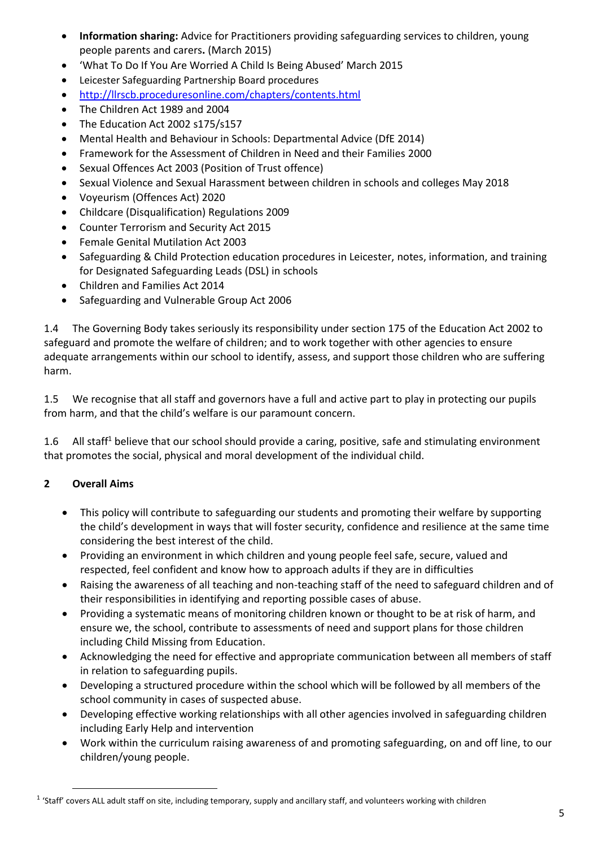- **Information sharing:** Advice for Practitioners providing safeguarding services to children, young people parents and carers**.** (March 2015)
- 'What To Do If You Are Worried A Child Is Being Abused' March 2015
- Leicester Safeguarding Partnership Board procedures
- <http://llrscb.proceduresonline.com/chapters/contents.html>
- The Children Act 1989 and 2004
- The Education Act 2002 s175/s157
- Mental Health and Behaviour in Schools: Departmental Advice (DfE 2014)
- Framework for the Assessment of Children in Need and their Families 2000
- Sexual Offences Act 2003 (Position of Trust offence)
- Sexual Violence and Sexual Harassment between children in schools and colleges May 2018
- Voyeurism (Offences Act) 2020
- Childcare (Disqualification) Regulations 2009
- Counter Terrorism and Security Act 2015
- Female Genital Mutilation Act 2003
- Safeguarding & Child Protection education procedures in Leicester, notes, information, and training for Designated Safeguarding Leads (DSL) in schools
- Children and Families Act 2014
- Safeguarding and Vulnerable Group Act 2006

1.4 The Governing Body takes seriously its responsibility under section 175 of the Education Act 2002 to safeguard and promote the welfare of children; and to work together with other agencies to ensure adequate arrangements within our school to identify, assess, and support those children who are suffering harm.

1.5 We recognise that all staff and governors have a full and active part to play in protecting our pupils from harm, and that the child's welfare is our paramount concern.

1.6 All staff<sup>1</sup> believe that our school should provide a caring, positive, safe and stimulating environment that promotes the social, physical and moral development of the individual child.

## **2 Overall Aims**

**.** 

- This policy will contribute to safeguarding our students and promoting their welfare by supporting the child's development in ways that will foster security, confidence and resilience at the same time considering the best interest of the child.
- Providing an environment in which children and young people feel safe, secure, valued and respected, feel confident and know how to approach adults if they are in difficulties
- Raising the awareness of all teaching and non-teaching staff of the need to safeguard children and of their responsibilities in identifying and reporting possible cases of abuse.
- Providing a systematic means of monitoring children known or thought to be at risk of harm, and ensure we, the school, contribute to assessments of need and support plans for those children including Child Missing from Education.
- Acknowledging the need for effective and appropriate communication between all members of staff in relation to safeguarding pupils.
- Developing a structured procedure within the school which will be followed by all members of the school community in cases of suspected abuse.
- Developing effective working relationships with all other agencies involved in safeguarding children including Early Help and intervention
- Work within the curriculum raising awareness of and promoting safeguarding, on and off line, to our children/young people.

<sup>&</sup>lt;sup>1</sup> 'Staff' covers ALL adult staff on site, including temporary, supply and ancillary staff, and volunteers working with children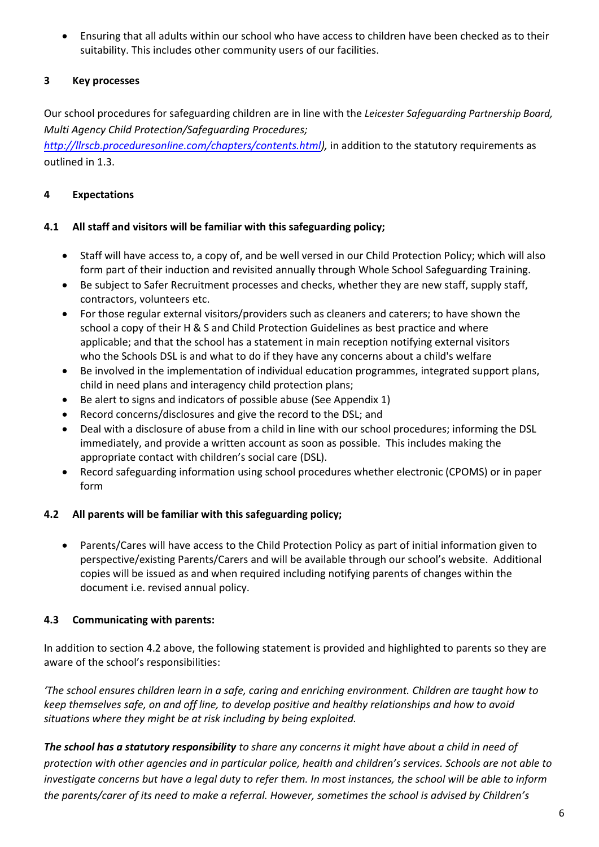• Ensuring that all adults within our school who have access to children have been checked as to their suitability. This includes other community users of our facilities.

## **3 Key processes**

Our school procedures for safeguarding children are in line with the *Leicester Safeguarding Partnership Board, Multi Agency Child Protection/Safeguarding Procedures;*

*[http://llrscb.proceduresonline.com/chapters/contents.html\)](http://llrscb.proceduresonline.com/chapters/contents.html),* in addition to the statutory requirements as outlined in 1.3.

### **4 Expectations**

### **4.1 All staff and visitors will be familiar with this safeguarding policy;**

- Staff will have access to, a copy of, and be well versed in our Child Protection Policy; which will also form part of their induction and revisited annually through Whole School Safeguarding Training.
- Be subject to Safer Recruitment processes and checks, whether they are new staff, supply staff, contractors, volunteers etc.
- For those regular external visitors/providers such as cleaners and caterers; to have shown the school a copy of their H & S and Child Protection Guidelines as best practice and where applicable; and that the school has a statement in main reception notifying external visitors who the Schools DSL is and what to do if they have any concerns about a child's welfare
- Be involved in the implementation of individual education programmes, integrated support plans, child in need plans and interagency child protection plans;
- Be alert to signs and indicators of possible abuse (See Appendix 1)
- Record concerns/disclosures and give the record to the DSL; and
- Deal with a disclosure of abuse from a child in line with our school procedures; informing the DSL immediately, and provide a written account as soon as possible. This includes making the appropriate contact with children's social care (DSL).
- Record safeguarding information using school procedures whether electronic (CPOMS) or in paper form

## **4.2 All parents will be familiar with this safeguarding policy;**

• Parents/Cares will have access to the Child Protection Policy as part of initial information given to perspective/existing Parents/Carers and will be available through our school's website. Additional copies will be issued as and when required including notifying parents of changes within the document i.e. revised annual policy.

## **4.3 Communicating with parents:**

In addition to section 4.2 above, the following statement is provided and highlighted to parents so they are aware of the school's responsibilities:

*'The school ensures children learn in a safe, caring and enriching environment. Children are taught how to keep themselves safe, on and off line, to develop positive and healthy relationships and how to avoid situations where they might be at risk including by being exploited.* 

*The school has a statutory responsibility to share any concerns it might have about a child in need of protection with other agencies and in particular police, health and children's services. Schools are not able to investigate concerns but have a legal duty to refer them. In most instances, the school will be able to inform the parents/carer of its need to make a referral. However, sometimes the school is advised by Children's*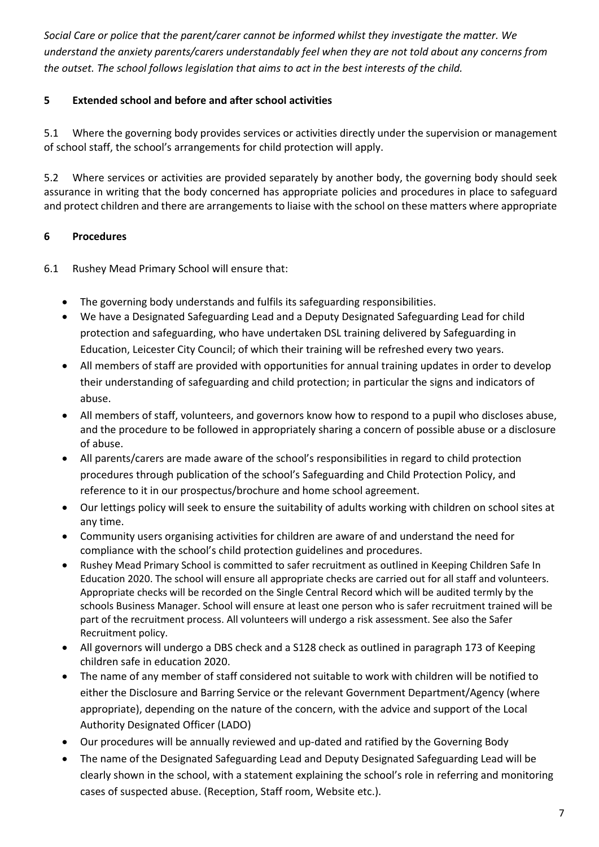*Social Care or police that the parent/carer cannot be informed whilst they investigate the matter. We understand the anxiety parents/carers understandably feel when they are not told about any concerns from the outset. The school follows legislation that aims to act in the best interests of the child.* 

## **5 Extended school and before and after school activities**

5.1 Where the governing body provides services or activities directly under the supervision or management of school staff, the school's arrangements for child protection will apply.

5.2 Where services or activities are provided separately by another body, the governing body should seek assurance in writing that the body concerned has appropriate policies and procedures in place to safeguard and protect children and there are arrangements to liaise with the school on these matters where appropriate

## **6 Procedures**

6.1 Rushey Mead Primary School will ensure that:

- The governing body understands and fulfils its safeguarding responsibilities.
- We have a Designated Safeguarding Lead and a Deputy Designated Safeguarding Lead for child protection and safeguarding, who have undertaken DSL training delivered by Safeguarding in Education, Leicester City Council; of which their training will be refreshed every two years.
- All members of staff are provided with opportunities for annual training updates in order to develop their understanding of safeguarding and child protection; in particular the signs and indicators of abuse.
- All members of staff, volunteers, and governors know how to respond to a pupil who discloses abuse, and the procedure to be followed in appropriately sharing a concern of possible abuse or a disclosure of abuse.
- All parents/carers are made aware of the school's responsibilities in regard to child protection procedures through publication of the school's Safeguarding and Child Protection Policy, and reference to it in our prospectus/brochure and home school agreement.
- Our lettings policy will seek to ensure the suitability of adults working with children on school sites at any time.
- Community users organising activities for children are aware of and understand the need for compliance with the school's child protection guidelines and procedures.
- Rushey Mead Primary School is committed to safer recruitment as outlined in Keeping Children Safe In Education 2020. The school will ensure all appropriate checks are carried out for all staff and volunteers. Appropriate checks will be recorded on the Single Central Record which will be audited termly by the schools Business Manager. School will ensure at least one person who is safer recruitment trained will be part of the recruitment process. All volunteers will undergo a risk assessment. See also the Safer Recruitment policy.
- All governors will undergo a DBS check and a S128 check as outlined in paragraph 173 of Keeping children safe in education 2020.
- The name of any member of staff considered not suitable to work with children will be notified to either the Disclosure and Barring Service or the relevant Government Department/Agency (where appropriate), depending on the nature of the concern, with the advice and support of the Local Authority Designated Officer (LADO)
- Our procedures will be annually reviewed and up-dated and ratified by the Governing Body
- The name of the Designated Safeguarding Lead and Deputy Designated Safeguarding Lead will be clearly shown in the school, with a statement explaining the school's role in referring and monitoring cases of suspected abuse. (Reception, Staff room, Website etc.).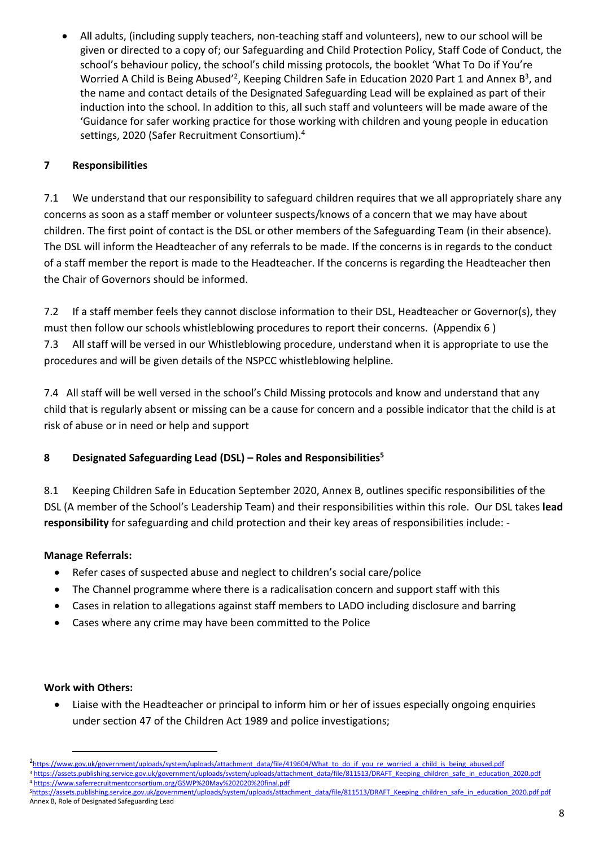• All adults, (including supply teachers, non-teaching staff and volunteers), new to our school will be given or directed to a copy of; our Safeguarding and Child Protection Policy, Staff Code of Conduct, the school's behaviour policy, the school's child missing protocols, the booklet 'What To Do if You're Worried A Child is Being Abused<sup>'2</sup>, Keeping Children Safe in Education 2020 Part 1 and Annex B<sup>3</sup>, and the name and contact details of the Designated Safeguarding Lead will be explained as part of their induction into the school. In addition to this, all such staff and volunteers will be made aware of the 'Guidance for safer working practice for those working with children and young people in education settings, 2020 (Safer Recruitment Consortium).<sup>4</sup>

## **7 Responsibilities**

7.1 We understand that our responsibility to safeguard children requires that we all appropriately share any concerns as soon as a staff member or volunteer suspects/knows of a concern that we may have about children. The first point of contact is the DSL or other members of the Safeguarding Team (in their absence). The DSL will inform the Headteacher of any referrals to be made. If the concerns is in regards to the conduct of a staff member the report is made to the Headteacher. If the concerns is regarding the Headteacher then the Chair of Governors should be informed.

7.2 If a staff member feels they cannot disclose information to their DSL, Headteacher or Governor(s), they must then follow our schools whistleblowing procedures to report their concerns. (Appendix 6 ) 7.3 All staff will be versed in our Whistleblowing procedure, understand when it is appropriate to use the procedures and will be given details of the NSPCC whistleblowing helpline.

7.4 All staff will be well versed in the school's Child Missing protocols and know and understand that any child that is regularly absent or missing can be a cause for concern and a possible indicator that the child is at risk of abuse or in need or help and support

## **8 Designated Safeguarding Lead (DSL) – Roles and Responsibilities<sup>5</sup>**

8.1 Keeping Children Safe in Education September 2020, Annex B, outlines specific responsibilities of the DSL (A member of the School's Leadership Team) and their responsibilities within this role. Our DSL takes **lead responsibility** for safeguarding and child protection and their key areas of responsibilities include: -

## **Manage Referrals:**

- Refer cases of suspected abuse and neglect to children's social care/police
- The Channel programme where there is a radicalisation concern and support staff with this
- Cases in relation to allegations against staff members to LADO including disclosure and barring
- Cases where any crime may have been committed to the Police

## **Work with Others:**

**.** 

• Liaise with the Headteacher or principal to inform him or her of issues especially ongoing enquiries under section 47 of the Children Act 1989 and police investigations;

<sup>2&</sup>lt;br>2[https://www.gov.uk/government/uploads/system/uploads/attachment\\_data/file/419604/What\\_to\\_do\\_if\\_you\\_re\\_worried\\_a\\_child\\_is\\_being\\_abused.pdf](https://www.gov.uk/government/uploads/system/uploads/attachment_data/file/419604/What_to_do_if_you_re_worried_a_child_is_being_abused.pdf) <sup>3</sup> https://assets.publishing.service.gov.uk/government/uploads/system/uploads/attachment\_data/file/811513/DRAFT\_Keeping\_children\_safe\_in\_education\_2020.pdf

<sup>4</sup> https://www.saferrecruitmentconsortium.org/GSWP%20May%202020%20final.pdf

<sup>5</sup>https://assets.publishing.service.gov.uk/government/uploads/system/uploads/attachment\_data/file/811513/DRAFT\_Keeping\_children\_safe\_in\_education\_2020.pdf pdf Annex B, Role of Designated Safeguarding Lead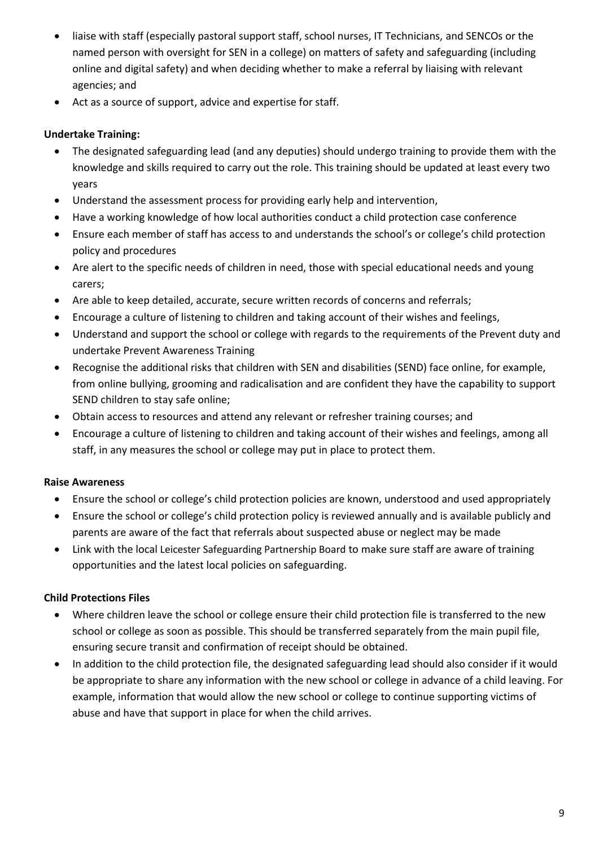- liaise with staff (especially pastoral support staff, school nurses, IT Technicians, and SENCOs or the named person with oversight for SEN in a college) on matters of safety and safeguarding (including online and digital safety) and when deciding whether to make a referral by liaising with relevant agencies; and
- Act as a source of support, advice and expertise for staff.

### **Undertake Training:**

- The designated safeguarding lead (and any deputies) should undergo training to provide them with the knowledge and skills required to carry out the role. This training should be updated at least every two years
- Understand the assessment process for providing early help and intervention,
- Have a working knowledge of how local authorities conduct a child protection case conference
- Ensure each member of staff has access to and understands the school's or college's child protection policy and procedures
- Are alert to the specific needs of children in need, those with special educational needs and young carers;
- Are able to keep detailed, accurate, secure written records of concerns and referrals;
- Encourage a culture of listening to children and taking account of their wishes and feelings,
- Understand and support the school or college with regards to the requirements of the Prevent duty and undertake Prevent Awareness Training
- Recognise the additional risks that children with SEN and disabilities (SEND) face online, for example, from online bullying, grooming and radicalisation and are confident they have the capability to support SEND children to stay safe online;
- Obtain access to resources and attend any relevant or refresher training courses; and
- Encourage a culture of listening to children and taking account of their wishes and feelings, among all staff, in any measures the school or college may put in place to protect them.

#### **Raise Awareness**

- Ensure the school or college's child protection policies are known, understood and used appropriately
- Ensure the school or college's child protection policy is reviewed annually and is available publicly and parents are aware of the fact that referrals about suspected abuse or neglect may be made
- Link with the local Leicester Safeguarding Partnership Board to make sure staff are aware of training opportunities and the latest local policies on safeguarding.

#### **Child Protections Files**

- Where children leave the school or college ensure their child protection file is transferred to the new school or college as soon as possible. This should be transferred separately from the main pupil file, ensuring secure transit and confirmation of receipt should be obtained.
- In addition to the child protection file, the designated safeguarding lead should also consider if it would be appropriate to share any information with the new school or college in advance of a child leaving. For example, information that would allow the new school or college to continue supporting victims of abuse and have that support in place for when the child arrives.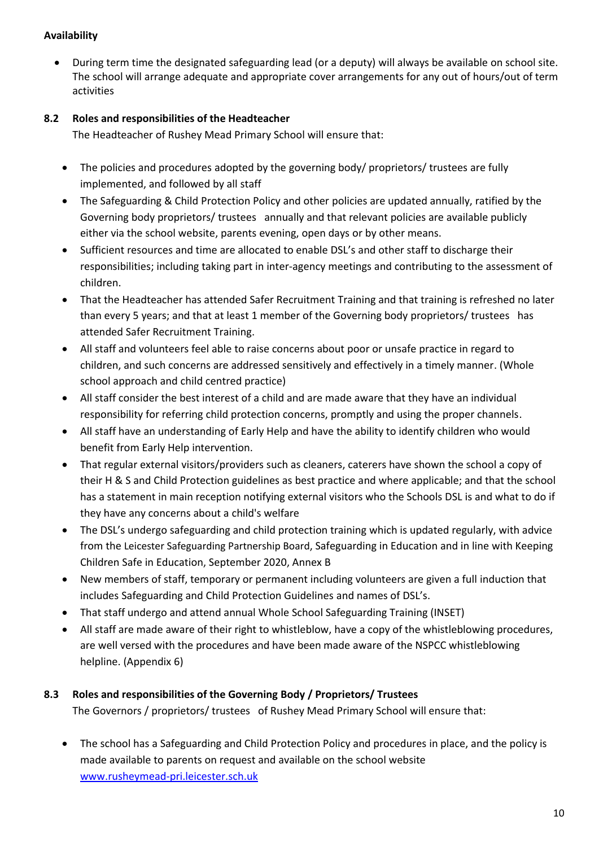### **Availability**

• During term time the designated safeguarding lead (or a deputy) will always be available on school site. The school will arrange adequate and appropriate cover arrangements for any out of hours/out of term activities

## **8.2 Roles and responsibilities of the Headteacher**

The Headteacher of Rushey Mead Primary School will ensure that:

- The policies and procedures adopted by the governing body/ proprietors/ trustees are fully implemented, and followed by all staff
- The Safeguarding & Child Protection Policy and other policies are updated annually, ratified by the Governing body proprietors/ trustees annually and that relevant policies are available publicly either via the school website, parents evening, open days or by other means.
- Sufficient resources and time are allocated to enable DSL's and other staff to discharge their responsibilities; including taking part in inter-agency meetings and contributing to the assessment of children.
- That the Headteacher has attended Safer Recruitment Training and that training is refreshed no later than every 5 years; and that at least 1 member of the Governing body proprietors/ trustees has attended Safer Recruitment Training.
- All staff and volunteers feel able to raise concerns about poor or unsafe practice in regard to children, and such concerns are addressed sensitively and effectively in a timely manner. (Whole school approach and child centred practice)
- All staff consider the best interest of a child and are made aware that they have an individual responsibility for referring child protection concerns, promptly and using the proper channels.
- All staff have an understanding of Early Help and have the ability to identify children who would benefit from Early Help intervention.
- That regular external visitors/providers such as cleaners, caterers have shown the school a copy of their H & S and Child Protection guidelines as best practice and where applicable; and that the school has a statement in main reception notifying external visitors who the Schools DSL is and what to do if they have any concerns about a child's welfare
- The DSL's undergo safeguarding and child protection training which is updated regularly, with advice from the Leicester Safeguarding Partnership Board, Safeguarding in Education and in line with Keeping Children Safe in Education, September 2020, Annex B
- New members of staff, temporary or permanent including volunteers are given a full induction that includes Safeguarding and Child Protection Guidelines and names of DSL's.
- That staff undergo and attend annual Whole School Safeguarding Training (INSET)
- All staff are made aware of their right to whistleblow, have a copy of the whistleblowing procedures, are well versed with the procedures and have been made aware of the NSPCC whistleblowing helpline. (Appendix 6)

## **8.3 Roles and responsibilities of the Governing Body / Proprietors/ Trustees**

The Governors / proprietors/ trustees of Rushey Mead Primary School will ensure that:

• The school has a Safeguarding and Child Protection Policy and procedures in place, and the policy is made available to parents on request and available on the school website [www.rusheymead-pri.leicester.sch.uk](http://www.rusheymead-pri.leicester.sch.uk/)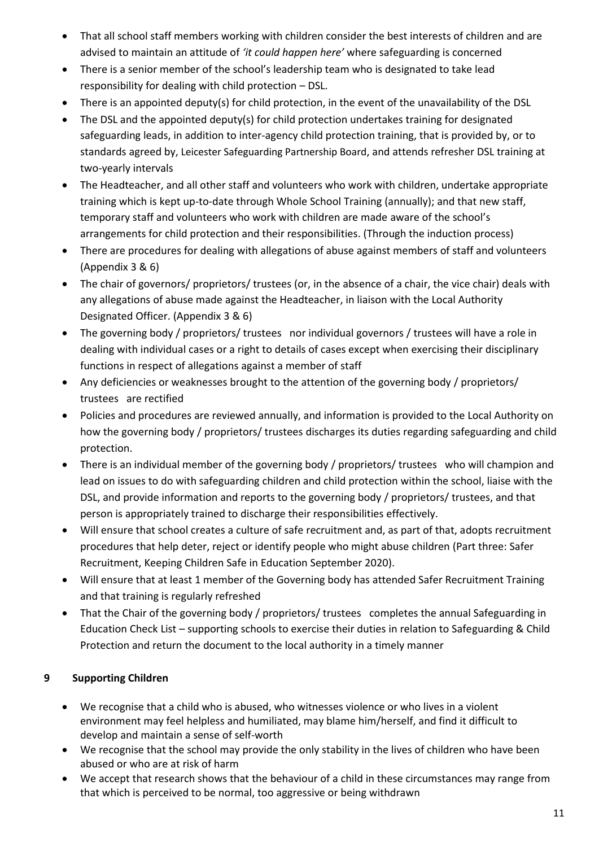- That all school staff members working with children consider the best interests of children and are advised to maintain an attitude of *'it could happen here'* where safeguarding is concerned
- There is a senior member of the school's leadership team who is designated to take lead responsibility for dealing with child protection – DSL.
- There is an appointed deputy(s) for child protection, in the event of the unavailability of the DSL
- The DSL and the appointed deputy(s) for child protection undertakes training for designated safeguarding leads, in addition to inter-agency child protection training, that is provided by, or to standards agreed by, Leicester Safeguarding Partnership Board, and attends refresher DSL training at two-yearly intervals
- The Headteacher, and all other staff and volunteers who work with children, undertake appropriate training which is kept up-to-date through Whole School Training (annually); and that new staff, temporary staff and volunteers who work with children are made aware of the school's arrangements for child protection and their responsibilities. (Through the induction process)
- There are procedures for dealing with allegations of abuse against members of staff and volunteers (Appendix 3 & 6)
- The chair of governors/ proprietors/ trustees (or, in the absence of a chair, the vice chair) deals with any allegations of abuse made against the Headteacher, in liaison with the Local Authority Designated Officer. (Appendix 3 & 6)
- The governing body / proprietors/ trustees nor individual governors / trustees will have a role in dealing with individual cases or a right to details of cases except when exercising their disciplinary functions in respect of allegations against a member of staff
- Any deficiencies or weaknesses brought to the attention of the governing body / proprietors/ trustees are rectified
- Policies and procedures are reviewed annually, and information is provided to the Local Authority on how the governing body / proprietors/ trustees discharges its duties regarding safeguarding and child protection.
- There is an individual member of the governing body / proprietors/ trustees who will champion and lead on issues to do with safeguarding children and child protection within the school, liaise with the DSL, and provide information and reports to the governing body / proprietors/ trustees, and that person is appropriately trained to discharge their responsibilities effectively.
- Will ensure that school creates a culture of safe recruitment and, as part of that, adopts recruitment procedures that help deter, reject or identify people who might abuse children (Part three: Safer Recruitment, Keeping Children Safe in Education September 2020).
- Will ensure that at least 1 member of the Governing body has attended Safer Recruitment Training and that training is regularly refreshed
- That the Chair of the governing body / proprietors/ trustees completes the annual Safeguarding in Education Check List – supporting schools to exercise their duties in relation to Safeguarding & Child Protection and return the document to the local authority in a timely manner

## **9 Supporting Children**

- We recognise that a child who is abused, who witnesses violence or who lives in a violent environment may feel helpless and humiliated, may blame him/herself, and find it difficult to develop and maintain a sense of self-worth
- We recognise that the school may provide the only stability in the lives of children who have been abused or who are at risk of harm
- We accept that research shows that the behaviour of a child in these circumstances may range from that which is perceived to be normal, too aggressive or being withdrawn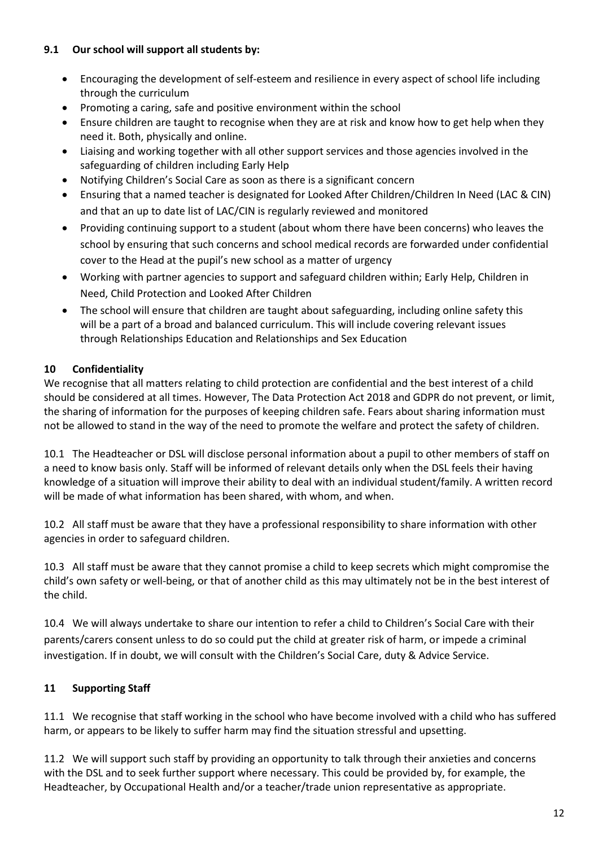## **9.1 Our school will support all students by:**

- Encouraging the development of self-esteem and resilience in every aspect of school life including through the curriculum
- Promoting a caring, safe and positive environment within the school
- Ensure children are taught to recognise when they are at risk and know how to get help when they need it. Both, physically and online.
- Liaising and working together with all other support services and those agencies involved in the safeguarding of children including Early Help
- Notifying Children's Social Care as soon as there is a significant concern
- Ensuring that a named teacher is designated for Looked After Children/Children In Need (LAC & CIN) and that an up to date list of LAC/CIN is regularly reviewed and monitored
- Providing continuing support to a student (about whom there have been concerns) who leaves the school by ensuring that such concerns and school medical records are forwarded under confidential cover to the Head at the pupil's new school as a matter of urgency
- Working with partner agencies to support and safeguard children within; Early Help, Children in Need, Child Protection and Looked After Children
- The school will ensure that children are taught about safeguarding, including online safety this will be a part of a broad and balanced curriculum. This will include covering relevant issues through Relationships Education and Relationships and Sex Education

# **10 Confidentiality**

We recognise that all matters relating to child protection are confidential and the best interest of a child should be considered at all times. However, The Data Protection Act 2018 and GDPR do not prevent, or limit, the sharing of information for the purposes of keeping children safe. Fears about sharing information must not be allowed to stand in the way of the need to promote the welfare and protect the safety of children.

10.1 The Headteacher or DSL will disclose personal information about a pupil to other members of staff on a need to know basis only. Staff will be informed of relevant details only when the DSL feels their having knowledge of a situation will improve their ability to deal with an individual student/family. A written record will be made of what information has been shared, with whom, and when.

10.2 All staff must be aware that they have a professional responsibility to share information with other agencies in order to safeguard children.

10.3 All staff must be aware that they cannot promise a child to keep secrets which might compromise the child's own safety or well-being, or that of another child as this may ultimately not be in the best interest of the child.

10.4 We will always undertake to share our intention to refer a child to Children's Social Care with their parents/carers consent unless to do so could put the child at greater risk of harm, or impede a criminal investigation. If in doubt, we will consult with the Children's Social Care, duty & Advice Service.

# **11 Supporting Staff**

11.1 We recognise that staff working in the school who have become involved with a child who has suffered harm, or appears to be likely to suffer harm may find the situation stressful and upsetting.

11.2 We will support such staff by providing an opportunity to talk through their anxieties and concerns with the DSL and to seek further support where necessary. This could be provided by, for example, the Headteacher, by Occupational Health and/or a teacher/trade union representative as appropriate.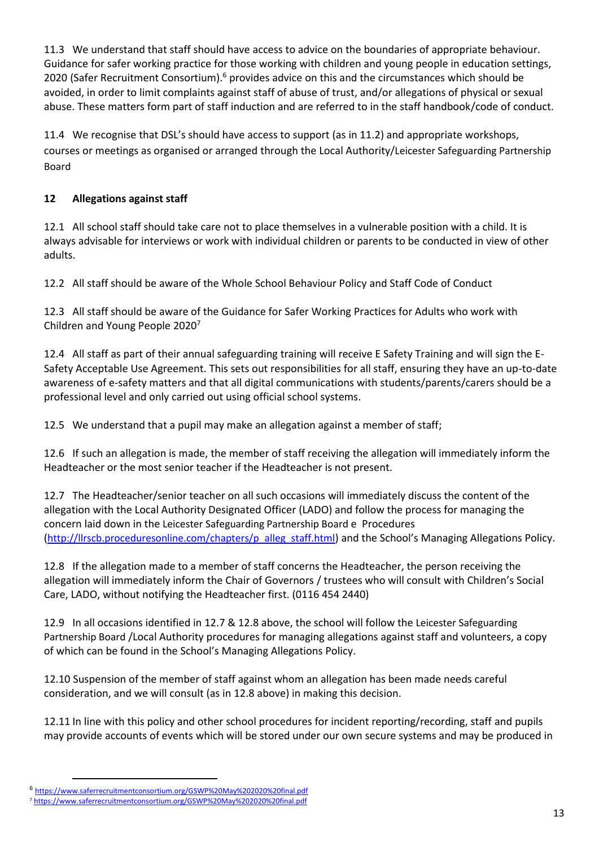11.3 We understand that staff should have access to advice on the boundaries of appropriate behaviour. Guidance for safer working practice for those working with children and young people in education settings, 2020 (Safer Recruitment Consortium).<sup>6</sup> provides advice on this and the circumstances which should be avoided, in order to limit complaints against staff of abuse of trust, and/or allegations of physical or sexual abuse. These matters form part of staff induction and are referred to in the staff handbook/code of conduct.

11.4 We recognise that DSL's should have access to support (as in 11.2) and appropriate workshops, courses or meetings as organised or arranged through the Local Authority/Leicester Safeguarding Partnership Board

## **12 Allegations against staff**

12.1 All school staff should take care not to place themselves in a vulnerable position with a child. It is always advisable for interviews or work with individual children or parents to be conducted in view of other adults.

12.2 All staff should be aware of the Whole School Behaviour Policy and Staff Code of Conduct

12.3 All staff should be aware of the Guidance for Safer Working Practices for Adults who work with Children and Young People 2020<sup>7</sup>

12.4 All staff as part of their annual safeguarding training will receive E Safety Training and will sign the E-Safety Acceptable Use Agreement. This sets out responsibilities for all staff, ensuring they have an up-to-date awareness of e-safety matters and that all digital communications with students/parents/carers should be a professional level and only carried out using official school systems.

12.5 We understand that a pupil may make an allegation against a member of staff;

12.6 If such an allegation is made, the member of staff receiving the allegation will immediately inform the Headteacher or the most senior teacher if the Headteacher is not present.

12.7 The Headteacher/senior teacher on all such occasions will immediately discuss the content of the allegation with the Local Authority Designated Officer (LADO) and follow the process for managing the concern laid down in the Leicester Safeguarding Partnership Board e Procedures ([http://llrscb.proceduresonline.com/chapters/p\\_alleg\\_staff.html](http://llrscb.proceduresonline.com/chapters/p_alleg_staff.html)) and the School's Managing Allegations Policy.

12.8 If the allegation made to a member of staff concerns the Headteacher, the person receiving the allegation will immediately inform the Chair of Governors / trustees who will consult with Children's Social Care, LADO, without notifying the Headteacher first. (0116 454 2440)

12.9 In all occasions identified in 12.7 & 12.8 above, the school will follow the Leicester Safeguarding Partnership Board /Local Authority procedures for managing allegations against staff and volunteers, a copy of which can be found in the School's Managing Allegations Policy.

12.10 Suspension of the member of staff against whom an allegation has been made needs careful consideration, and we will consult (as in 12.8 above) in making this decision.

12.11 In line with this policy and other school procedures for incident reporting/recording, staff and pupils may provide accounts of events which will be stored under our own secure systems and may be produced in

**.** 

<sup>6</sup> https://www.saferrecruitmentconsortium.org/GSWP%20May%202020%20final.pdf

<sup>7</sup> [https://www.saferrecruitmentconsortium.org/GSWP%20May%202020%20final.pdf](https://www.saferrecruitmentconsortium.org/GSWP%20May%202019%20final.pdf)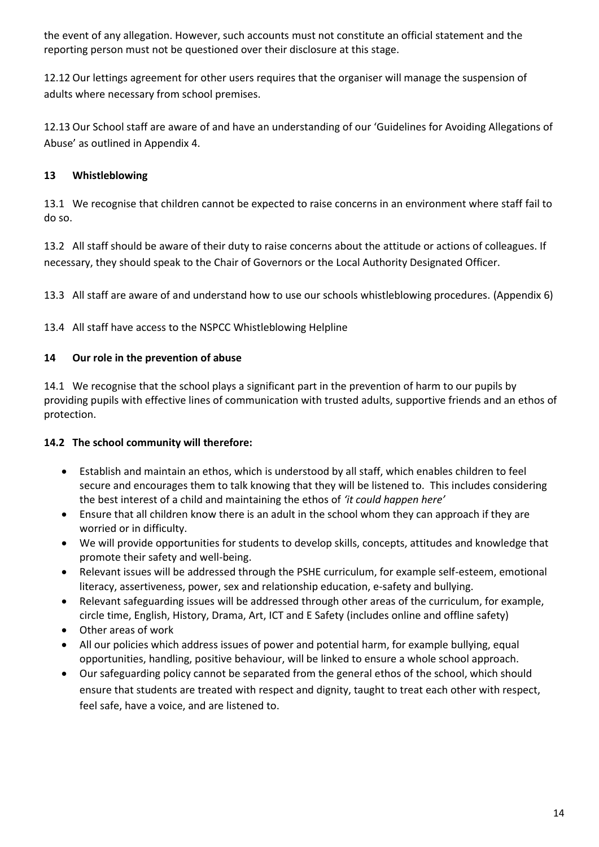the event of any allegation. However, such accounts must not constitute an official statement and the reporting person must not be questioned over their disclosure at this stage.

12.12 Our lettings agreement for other users requires that the organiser will manage the suspension of adults where necessary from school premises.

12.13 Our School staff are aware of and have an understanding of our 'Guidelines for Avoiding Allegations of Abuse' as outlined in Appendix 4.

## **13 Whistleblowing**

13.1 We recognise that children cannot be expected to raise concerns in an environment where staff fail to do so.

13.2 All staff should be aware of their duty to raise concerns about the attitude or actions of colleagues. If necessary, they should speak to the Chair of Governors or the Local Authority Designated Officer.

13.3 All staff are aware of and understand how to use our schools whistleblowing procedures. (Appendix 6)

13.4 All staff have access to the NSPCC Whistleblowing Helpline

## **14 Our role in the prevention of abuse**

14.1 We recognise that the school plays a significant part in the prevention of harm to our pupils by providing pupils with effective lines of communication with trusted adults, supportive friends and an ethos of protection.

## **14.2 The school community will therefore:**

- Establish and maintain an ethos, which is understood by all staff, which enables children to feel secure and encourages them to talk knowing that they will be listened to. This includes considering the best interest of a child and maintaining the ethos of *'it could happen here'*
- Ensure that all children know there is an adult in the school whom they can approach if they are worried or in difficulty.
- We will provide opportunities for students to develop skills, concepts, attitudes and knowledge that promote their safety and well-being.
- Relevant issues will be addressed through the PSHE curriculum, for example self-esteem, emotional literacy, assertiveness, power, sex and relationship education, e-safety and bullying.
- Relevant safeguarding issues will be addressed through other areas of the curriculum, for example, circle time, English, History, Drama, Art, ICT and E Safety (includes online and offline safety)
- Other areas of work
- All our policies which address issues of power and potential harm, for example bullying, equal opportunities, handling, positive behaviour, will be linked to ensure a whole school approach.
- Our safeguarding policy cannot be separated from the general ethos of the school, which should ensure that students are treated with respect and dignity, taught to treat each other with respect, feel safe, have a voice, and are listened to.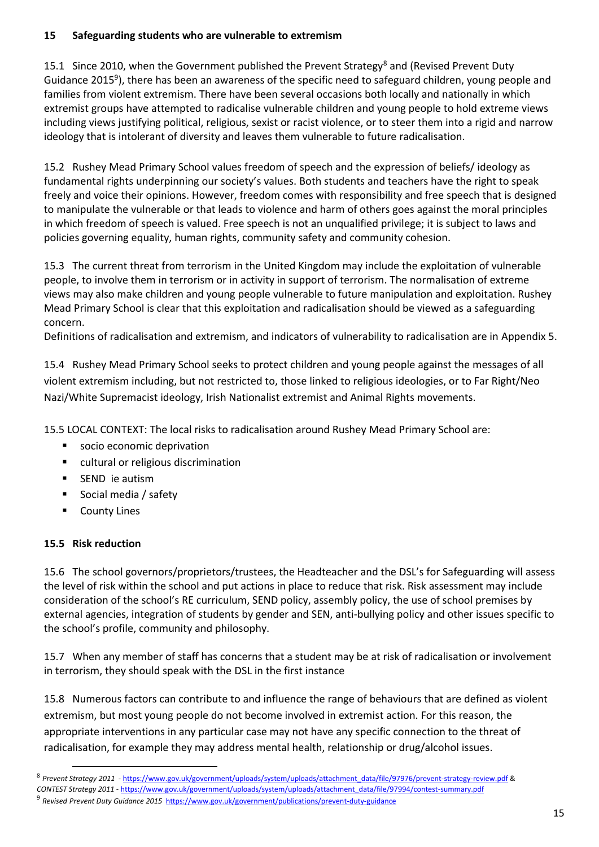#### **15 Safeguarding students who are vulnerable to extremism**

15.1 Since 2010, when the Government published the Prevent Strategy<sup>8</sup> and (Revised Prevent Duty Guidance 2015<sup>9</sup>), there has been an awareness of the specific need to safeguard children, young people and families from violent extremism. There have been several occasions both locally and nationally in which extremist groups have attempted to radicalise vulnerable children and young people to hold extreme views including views justifying political, religious, sexist or racist violence, or to steer them into a rigid and narrow ideology that is intolerant of diversity and leaves them vulnerable to future radicalisation.

15.2 Rushey Mead Primary School values freedom of speech and the expression of beliefs/ ideology as fundamental rights underpinning our society's values. Both students and teachers have the right to speak freely and voice their opinions. However, freedom comes with responsibility and free speech that is designed to manipulate the vulnerable or that leads to violence and harm of others goes against the moral principles in which freedom of speech is valued. Free speech is not an unqualified privilege; it is subject to laws and policies governing equality, human rights, community safety and community cohesion.

15.3 The current threat from terrorism in the United Kingdom may include the exploitation of vulnerable people, to involve them in terrorism or in activity in support of terrorism. The normalisation of extreme views may also make children and young people vulnerable to future manipulation and exploitation. Rushey Mead Primary School is clear that this exploitation and radicalisation should be viewed as a safeguarding concern.

Definitions of radicalisation and extremism, and indicators of vulnerability to radicalisation are in Appendix 5.

15.4 Rushey Mead Primary School seeks to protect children and young people against the messages of all violent extremism including, but not restricted to, those linked to religious ideologies, or to Far Right/Neo Nazi/White Supremacist ideology, Irish Nationalist extremist and Animal Rights movements.

15.5 LOCAL CONTEXT: The local risks to radicalisation around Rushey Mead Primary School are:

- socio economic deprivation
- cultural or religious discrimination
- SEND ie autism
- Social media / safety
- **County Lines**

#### **15.5 Risk reduction**

**.** 

15.6 The school governors/proprietors/trustees, the Headteacher and the DSL's for Safeguarding will assess the level of risk within the school and put actions in place to reduce that risk. Risk assessment may include consideration of the school's RE curriculum, SEND policy, assembly policy, the use of school premises by external agencies, integration of students by gender and SEN, anti-bullying policy and other issues specific to the school's profile, community and philosophy.

15.7 When any member of staff has concerns that a student may be at risk of radicalisation or involvement in terrorism, they should speak with the DSL in the first instance

15.8 Numerous factors can contribute to and influence the range of behaviours that are defined as violent extremism, but most young people do not become involved in extremist action. For this reason, the appropriate interventions in any particular case may not have any specific connection to the threat of radicalisation, for example they may address mental health, relationship or drug/alcohol issues.

<sup>8</sup> *Prevent Strategy 2011* - [https://www.gov.uk/government/uploads/system/uploads/attachment\\_data/file/97976/prevent-strategy-review.pdf](https://www.gov.uk/government/uploads/system/uploads/attachment_data/file/97976/prevent-strategy-review.pdf) &

*CONTEST Strategy 2011* - [https://www.gov.uk/government/uploads/system/uploads/attachment\\_data/file/97994/contest-summary.pdf](https://www.gov.uk/government/uploads/system/uploads/attachment_data/file/97994/contest-summary.pdf)

<sup>9</sup> *Revised Prevent Duty Guidance 2015*<https://www.gov.uk/government/publications/prevent-duty-guidance>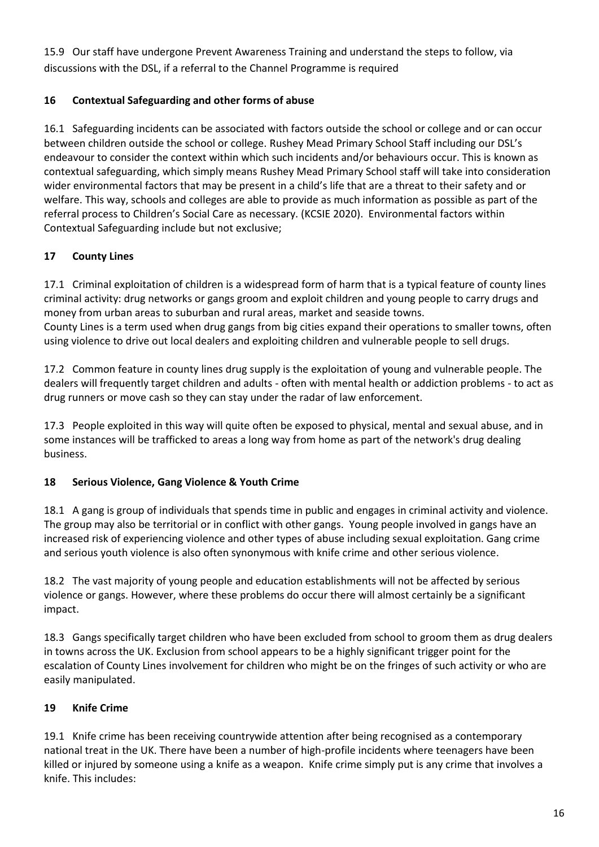15.9 Our staff have undergone Prevent Awareness Training and understand the steps to follow, via discussions with the DSL, if a referral to the Channel Programme is required

## **16 Contextual Safeguarding and other forms of abuse**

16.1 Safeguarding incidents can be associated with factors outside the school or college and or can occur between children outside the school or college. Rushey Mead Primary School Staff including our DSL's endeavour to consider the context within which such incidents and/or behaviours occur. This is known as contextual safeguarding, which simply means Rushey Mead Primary School staff will take into consideration wider environmental factors that may be present in a child's life that are a threat to their safety and or welfare. This way, schools and colleges are able to provide as much information as possible as part of the referral process to Children's Social Care as necessary. (KCSIE 2020). Environmental factors within Contextual Safeguarding include but not exclusive;

## **17 County Lines**

17.1 Criminal exploitation of children is a widespread form of harm that is a typical feature of county lines criminal activity: drug networks or gangs groom and exploit children and young people to carry drugs and money from urban areas to suburban and rural areas, market and seaside towns. County Lines is a term used when drug gangs from big cities expand their operations to smaller towns, often using violence to drive out local dealers and exploiting children and vulnerable people to sell drugs.

17.2 Common feature in county lines drug supply is the exploitation of young and vulnerable people. The dealers will frequently target children and adults - often with mental health or addiction problems - to act as drug runners or move cash so they can stay under the radar of law enforcement.

17.3 People exploited in this way will quite often be exposed to physical, mental and sexual abuse, and in some instances will be trafficked to areas a long way from home as part of the network's drug dealing business.

## **18 Serious Violence, Gang Violence & Youth Crime**

18.1 A gang is group of individuals that spends time in public and engages in criminal activity and violence. The group may also be territorial or in conflict with other gangs. Young people involved in gangs have an increased risk of experiencing violence and other types of abuse including sexual exploitation. Gang crime and serious youth violence is also often synonymous with knife crime and other serious violence.

18.2 The vast majority of young people and education establishments will not be affected by serious violence or gangs. However, where these problems do occur there will almost certainly be a significant impact.

18.3 Gangs specifically target children who have been excluded from school to groom them as drug dealers in towns across the UK. Exclusion from school appears to be a highly significant trigger point for the escalation of County Lines involvement for children who might be on the fringes of such activity or who are easily manipulated.

## **19 Knife Crime**

19.1 Knife crime has been receiving countrywide attention after being recognised as a contemporary national treat in the UK. There have been a number of high-profile incidents where teenagers have been killed or injured by someone using a knife as a weapon. Knife crime simply put is any crime that involves a knife. This includes: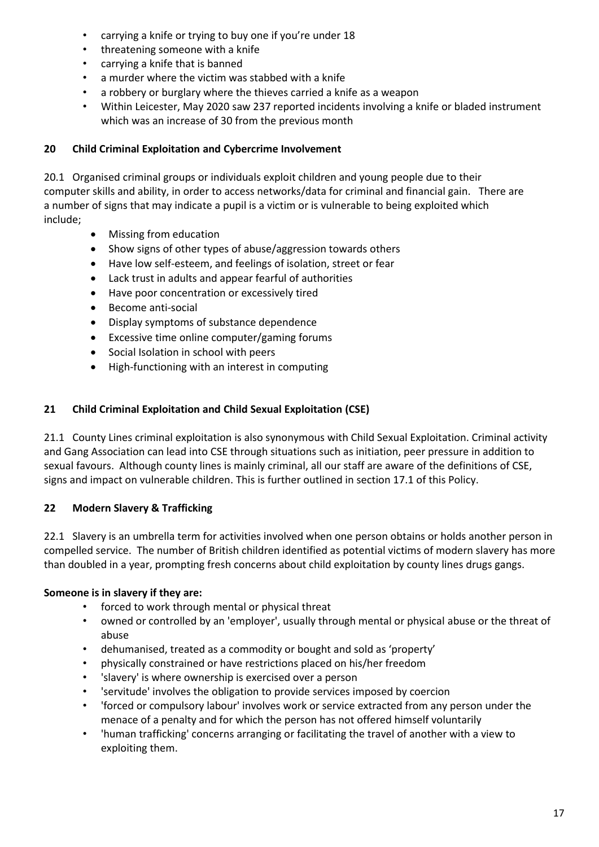- carrying a knife or trying to buy one if you're under 18
- threatening someone with a knife
- carrying a knife that is banned
- a murder where the victim was stabbed with a knife
- a robbery or burglary where the thieves carried a knife as a weapon
- Within Leicester, May 2020 saw 237 reported incidents involving a knife or bladed instrument which was an increase of 30 from the previous month

## **20 Child Criminal Exploitation and Cybercrime Involvement**

20.1 Organised criminal groups or individuals exploit children and young people due to their computer skills and ability, in order to access networks/data for criminal and financial gain. There are a number of signs that may indicate a pupil is a victim or is vulnerable to being exploited which include;

- Missing from education
- Show signs of other types of abuse/aggression towards others
- Have low self-esteem, and feelings of isolation, street or fear
- Lack trust in adults and appear fearful of authorities
- Have poor concentration or excessively tired
- Become anti-social
- Display symptoms of substance dependence
- Excessive time online computer/gaming forums
- Social Isolation in school with peers
- High-functioning with an interest in computing

## **21 Child Criminal Exploitation and Child Sexual Exploitation (CSE)**

21.1 County Lines criminal exploitation is also synonymous with Child Sexual Exploitation. Criminal activity and Gang Association can lead into CSE through situations such as initiation, peer pressure in addition to sexual favours. Although county lines is mainly criminal, all our staff are aware of the definitions of CSE, signs and impact on vulnerable children. This is further outlined in section 17.1 of this Policy.

## **22 Modern Slavery & Trafficking**

22.1 Slavery is an umbrella term for activities involved when one person obtains or holds another person in compelled service. The number of British children identified as potential victims of modern slavery has more than doubled in a year, prompting fresh concerns about child exploitation by county lines drugs gangs.

## **Someone is in slavery if they are:**

- forced to work through mental or physical threat
- owned or controlled by an 'employer', usually through mental or physical abuse or the threat of abuse
- dehumanised, treated as a commodity or bought and sold as 'property'
- physically constrained or have restrictions placed on his/her freedom
- 'slavery' is where ownership is exercised over a person
- 'servitude' involves the obligation to provide services imposed by coercion
- 'forced or compulsory labour' involves work or service extracted from any person under the menace of a penalty and for which the person has not offered himself voluntarily
- 'human trafficking' concerns arranging or facilitating the travel of another with a view to exploiting them.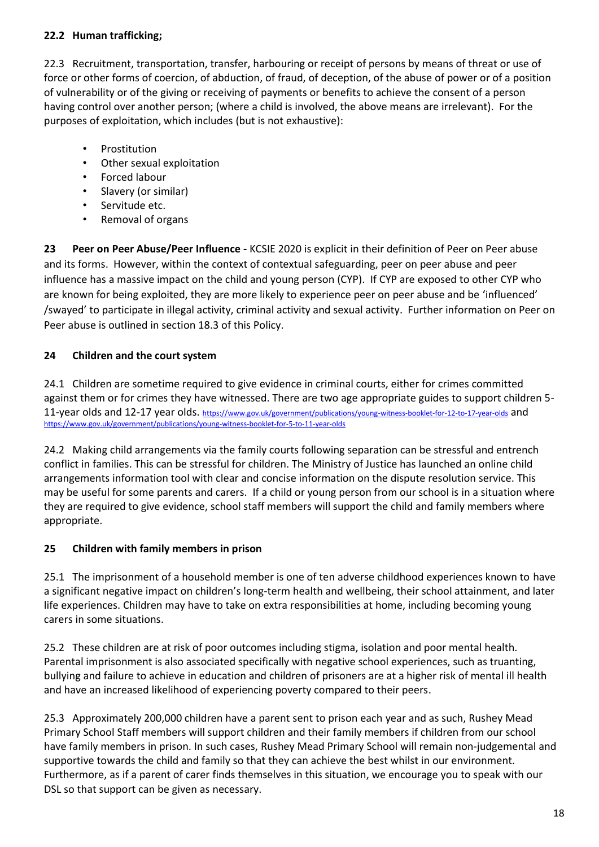## **22.2 Human trafficking;**

22.3 Recruitment, transportation, transfer, harbouring or receipt of persons by means of threat or use of force or other forms of coercion, of abduction, of fraud, of deception, of the abuse of power or of a position of vulnerability or of the giving or receiving of payments or benefits to achieve the consent of a person having control over another person; (where a child is involved, the above means are irrelevant). For the purposes of exploitation, which includes (but is not exhaustive):

- **Prostitution**
- Other sexual exploitation
- Forced labour
- Slavery (or similar)
- Servitude etc.
- Removal of organs

**23 Peer on Peer Abuse/Peer Influence -** KCSIE 2020 is explicit in their definition of Peer on Peer abuse and its forms. However, within the context of contextual safeguarding, peer on peer abuse and peer influence has a massive impact on the child and young person (CYP). If CYP are exposed to other CYP who are known for being exploited, they are more likely to experience peer on peer abuse and be 'influenced' /swayed' to participate in illegal activity, criminal activity and sexual activity. Further information on Peer on Peer abuse is outlined in section 18.3 of this Policy.

### **24 Children and the court system**

24.1 Children are sometime required to give evidence in criminal courts, either for crimes committed against them or for crimes they have witnessed. There are two age appropriate guides to support children 5 11-year olds and 12-17 year olds. <https://www.gov.uk/government/publications/young-witness-booklet-for-12-to-17-year-olds> and <https://www.gov.uk/government/publications/young-witness-booklet-for-5-to-11-year-olds>

24.2 Making child arrangements via the family courts following separation can be stressful and entrench conflict in families. This can be stressful for children. The Ministry of Justice has launched an online child arrangements information tool with clear and concise information on the dispute resolution service. This may be useful for some parents and carers. If a child or young person from our school is in a situation where they are required to give evidence, school staff members will support the child and family members where appropriate.

## **25 Children with family members in prison**

25.1 The imprisonment of a household member is one of ten adverse childhood experiences known to have a significant negative impact on children's long-term health and wellbeing, their school attainment, and later life experiences. Children may have to take on extra responsibilities at home, including becoming young carers in some situations.

25.2 These children are at risk of poor outcomes including stigma, isolation and poor mental health. Parental imprisonment is also associated specifically with negative school experiences, such as truanting, bullying and failure to achieve in education and children of prisoners are at a higher risk of mental ill health and have an increased likelihood of experiencing poverty compared to their peers.

25.3 Approximately 200,000 children have a parent sent to prison each year and as such, Rushey Mead Primary School Staff members will support children and their family members if children from our school have family members in prison. In such cases, Rushey Mead Primary School will remain non-judgemental and supportive towards the child and family so that they can achieve the best whilst in our environment. Furthermore, as if a parent of carer finds themselves in this situation, we encourage you to speak with our DSL so that support can be given as necessary.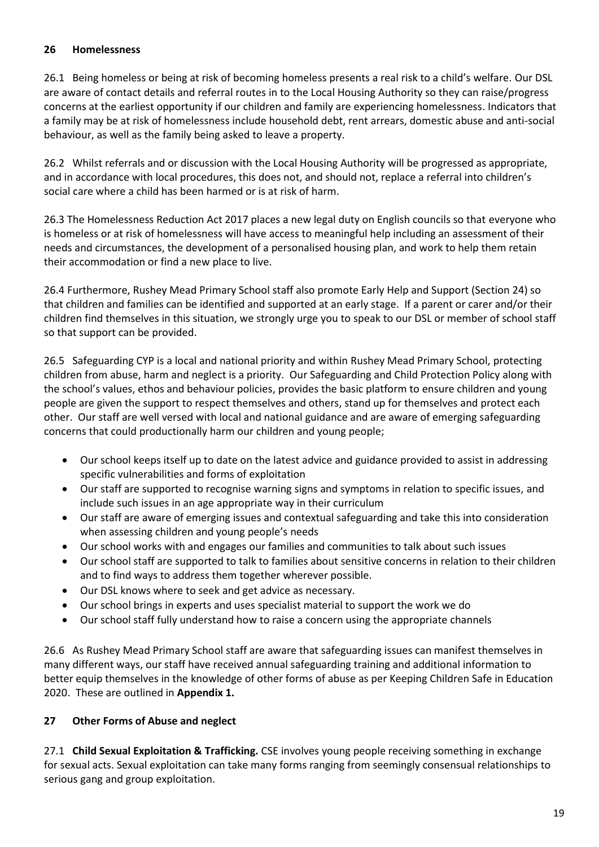### **26 Homelessness**

26.1 Being homeless or being at risk of becoming homeless presents a real risk to a child's welfare. Our DSL are aware of contact details and referral routes in to the Local Housing Authority so they can raise/progress concerns at the earliest opportunity if our children and family are experiencing homelessness. Indicators that a family may be at risk of homelessness include household debt, rent arrears, domestic abuse and anti-social behaviour, as well as the family being asked to leave a property.

26.2 Whilst referrals and or discussion with the Local Housing Authority will be progressed as appropriate, and in accordance with local procedures, this does not, and should not, replace a referral into children's social care where a child has been harmed or is at risk of harm.

26.3 The Homelessness Reduction Act 2017 places a new legal duty on English councils so that everyone who is homeless or at risk of homelessness will have access to meaningful help including an assessment of their needs and circumstances, the development of a personalised housing plan, and work to help them retain their accommodation or find a new place to live.

26.4 Furthermore, Rushey Mead Primary School staff also promote Early Help and Support (Section 24) so that children and families can be identified and supported at an early stage. If a parent or carer and/or their children find themselves in this situation, we strongly urge you to speak to our DSL or member of school staff so that support can be provided.

26.5 Safeguarding CYP is a local and national priority and within Rushey Mead Primary School, protecting children from abuse, harm and neglect is a priority. Our Safeguarding and Child Protection Policy along with the school's values, ethos and behaviour policies, provides the basic platform to ensure children and young people are given the support to respect themselves and others, stand up for themselves and protect each other. Our staff are well versed with local and national guidance and are aware of emerging safeguarding concerns that could productionally harm our children and young people;

- Our school keeps itself up to date on the latest advice and guidance provided to assist in addressing specific vulnerabilities and forms of exploitation
- Our staff are supported to recognise warning signs and symptoms in relation to specific issues, and include such issues in an age appropriate way in their curriculum
- Our staff are aware of emerging issues and contextual safeguarding and take this into consideration when assessing children and young people's needs
- Our school works with and engages our families and communities to talk about such issues
- Our school staff are supported to talk to families about sensitive concerns in relation to their children and to find ways to address them together wherever possible.
- Our DSL knows where to seek and get advice as necessary.
- Our school brings in experts and uses specialist material to support the work we do
- Our school staff fully understand how to raise a concern using the appropriate channels

26.6 As Rushey Mead Primary School staff are aware that safeguarding issues can manifest themselves in many different ways, our staff have received annual safeguarding training and additional information to better equip themselves in the knowledge of other forms of abuse as per Keeping Children Safe in Education 2020. These are outlined in **Appendix 1.**

## **27 Other Forms of Abuse and neglect**

27.1 **Child Sexual Exploitation & Trafficking.** CSE involves young people receiving something in exchange for sexual acts. Sexual exploitation can take many forms ranging from seemingly consensual relationships to serious gang and group exploitation.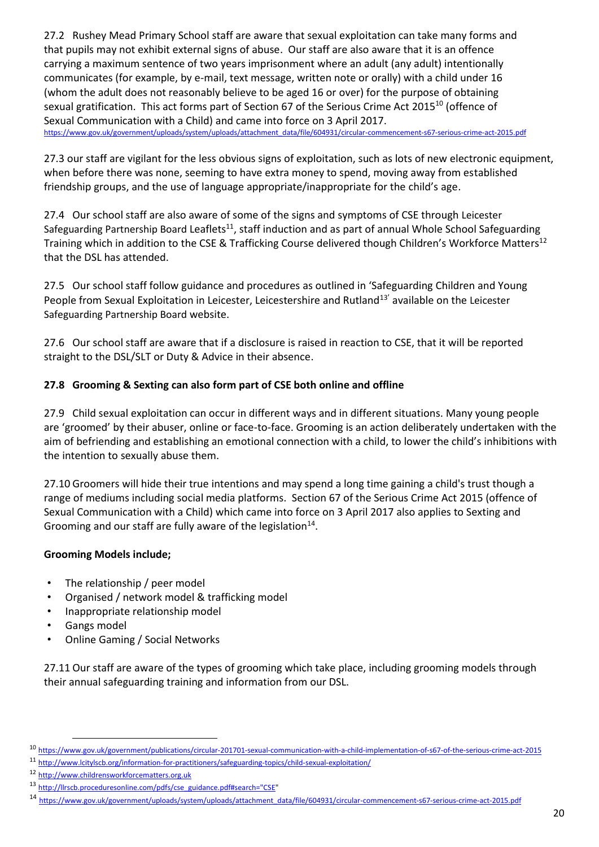27.2 Rushey Mead Primary School staff are aware that sexual exploitation can take many forms and that pupils may not exhibit external signs of abuse. Our staff are also aware that it is an offence carrying a maximum sentence of two years imprisonment where an adult (any adult) intentionally communicates (for example, by e-mail, text message, written note or orally) with a child under 16 (whom the adult does not reasonably believe to be aged 16 or over) for the purpose of obtaining sexual gratification. This act forms part of Section 67 of the Serious Crime Act 2015<sup>10</sup> (offence of Sexual Communication with a Child) and came into force on 3 April 2017. [https://www.gov.uk/government/uploads/system/uploads/attachment\\_data/file/604931/circular-commencement-s67-serious-crime-act-2015.pdf](https://www.gov.uk/government/uploads/system/uploads/attachment_data/file/604931/circular-commencement-s67-serious-crime-act-2015.pdf)

27.3 our staff are vigilant for the less obvious signs of exploitation, such as lots of new electronic equipment, when before there was none, seeming to have extra money to spend, moving away from established friendship groups, and the use of language appropriate/inappropriate for the child's age.

27.4 Our school staff are also aware of some of the signs and symptoms of CSE through Leicester Safeguarding Partnership Board Leaflets<sup>11</sup>, staff induction and as part of annual Whole School Safeguarding Training which in addition to the CSE & Trafficking Course delivered though Children's Workforce Matters<sup>12</sup> that the DSL has attended.

27.5 Our school staff follow guidance and procedures as outlined in 'Safeguarding Children and Young People from Sexual Exploitation in Leicester, Leicestershire and Rutland<sup>13'</sup> available on the Leicester Safeguarding Partnership Board website.

27.6 Our school staff are aware that if a disclosure is raised in reaction to CSE, that it will be reported straight to the DSL/SLT or Duty & Advice in their absence.

## **27.8 Grooming & Sexting can also form part of CSE both online and offline**

27.9 Child sexual exploitation can occur in different ways and in different situations. Many young people are 'groomed' by their abuser, online or face-to-face. Grooming is an action deliberately undertaken with the aim of befriending and establishing an emotional connection with a child, to lower the child's inhibitions with the intention to sexually abuse them.

27.10 Groomers will hide their true intentions and may spend a long time gaining a child's trust though a range of mediums including social media platforms. Section 67 of the Serious Crime Act 2015 (offence of Sexual Communication with a Child) which came into force on 3 April 2017 also applies to Sexting and Grooming and our staff are fully aware of the legislation<sup>14</sup>.

#### **Grooming Models include;**

- The relationship / peer model
- Organised / network model & trafficking model
- Inappropriate relationship model
- Gangs model

1

• Online Gaming / Social Networks

27.11 Our staff are aware of the types of grooming which take place, including grooming models through their annual safeguarding training and information from our DSL.

<sup>10</sup> <https://www.gov.uk/government/publications/circular-201701-sexual-communication-with-a-child-implementation-of-s67-of-the-serious-crime-act-2015>

<sup>11</sup> <http://www.lcitylscb.org/information-for-practitioners/safeguarding-topics/child-sexual-exploitation/>

<sup>12</sup> [http://www.childrensworkforcematters.org.uk](http://www.childrensworkforcematters.org.uk/)

<sup>13</sup> [http://llrscb.proceduresonline.com/pdfs/cse\\_guidance.pdf#search="CSE"](http://llrscb.proceduresonline.com/pdfs/cse_guidance.pdf#search="CSE)

<sup>14</sup> [https://www.gov.uk/government/uploads/system/uploads/attachment\\_data/file/604931/circular-commencement-s67-serious-crime-act-2015.pdf](https://www.gov.uk/government/uploads/system/uploads/attachment_data/file/604931/circular-commencement-s67-serious-crime-act-2015.pdf)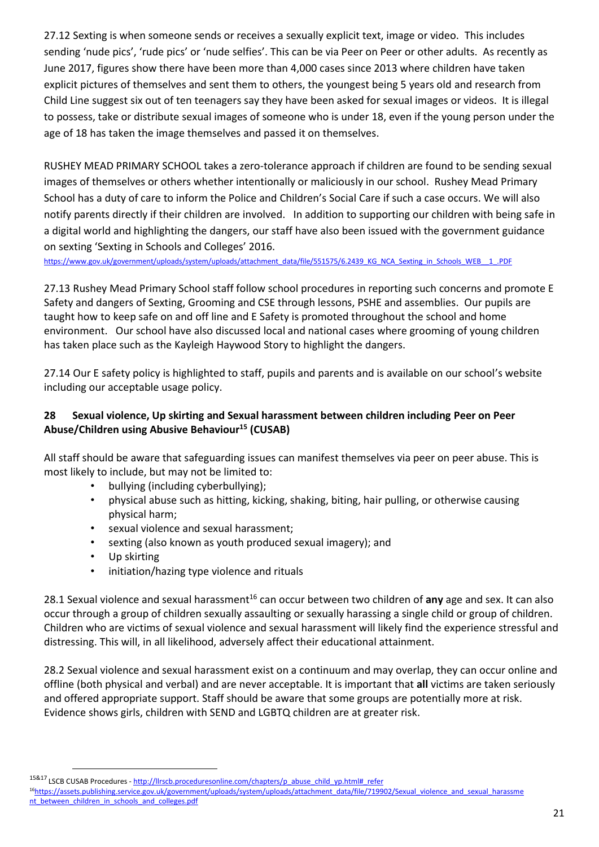27.12 Sexting is when someone sends or receives a sexually explicit text, image or video. This includes sending 'nude pics', 'rude pics' or 'nude selfies'. This can be via Peer on Peer or other adults. As recently as June 2017, figures show there have been more than 4,000 cases since 2013 where children have taken explicit pictures of themselves and sent them to others, the youngest being 5 years old and research from Child Line suggest six out of ten teenagers say they have been asked for sexual images or videos. It is illegal to possess, take or distribute sexual images of someone who is under 18, even if the young person under the age of 18 has taken the image themselves and passed it on themselves.

RUSHEY MEAD PRIMARY SCHOOL takes a zero-tolerance approach if children are found to be sending sexual images of themselves or others whether intentionally or maliciously in our school. Rushey Mead Primary School has a duty of care to inform the Police and Children's Social Care if such a case occurs. We will also notify parents directly if their children are involved. In addition to supporting our children with being safe in a digital world and highlighting the dangers, our staff have also been issued with the government guidance on sexting 'Sexting in Schools and Colleges' 2016.

[https://www.gov.uk/government/uploads/system/uploads/attachment\\_data/file/551575/6.2439\\_KG\\_NCA\\_Sexting\\_in\\_Schools\\_WEB\\_\\_1\\_.PDF](https://www.gov.uk/government/uploads/system/uploads/attachment_data/file/551575/6.2439_KG_NCA_Sexting_in_Schools_WEB__1_.PDF)

27.13 Rushey Mead Primary School staff follow school procedures in reporting such concerns and promote E Safety and dangers of Sexting, Grooming and CSE through lessons, PSHE and assemblies. Our pupils are taught how to keep safe on and off line and E Safety is promoted throughout the school and home environment. Our school have also discussed local and national cases where grooming of young children has taken place such as the Kayleigh Haywood Story to highlight the dangers.

27.14 Our E safety policy is highlighted to staff, pupils and parents and is available on our school's website including our acceptable usage policy.

#### **28 Sexual violence, Up skirting and Sexual harassment between children including Peer on Peer Abuse/Children using Abusive Behaviour<sup>15</sup> (CUSAB)**

All staff should be aware that safeguarding issues can manifest themselves via peer on peer abuse. This is most likely to include, but may not be limited to:

- bullying (including cyberbullying);
- physical abuse such as hitting, kicking, shaking, biting, hair pulling, or otherwise causing physical harm;
- sexual violence and sexual harassment;
- sexting (also known as youth produced sexual imagery); and
- Up skirting

 $\overline{\phantom{a}}$ 

• initiation/hazing type violence and rituals

28.1 Sexual violence and sexual harassment<sup>16</sup> can occur between two children of any age and sex. It can also occur through a group of children sexually assaulting or sexually harassing a single child or group of children. Children who are victims of sexual violence and sexual harassment will likely find the experience stressful and distressing. This will, in all likelihood, adversely affect their educational attainment.

28.2 Sexual violence and sexual harassment exist on a continuum and may overlap, they can occur online and offline (both physical and verbal) and are never acceptable. It is important that **all** victims are taken seriously and offered appropriate support. Staff should be aware that some groups are potentially more at risk. Evidence shows girls, children with SEND and LGBTQ children are at greater risk.

<sup>&</sup>lt;sup>15&17</sup> LSCB CUSAB Procedures - [http://llrscb.proceduresonline.com/chapters/p\\_abuse\\_child\\_yp.html#\\_refer](http://llrscb.proceduresonline.com/chapters/p_abuse_child_yp.html#_refer)

<sup>&</sup>lt;sup>16</sup>[https://assets.publishing.service.gov.uk/government/uploads/system/uploads/attachment\\_data/file/719902/Sexual\\_violence\\_and\\_sexual\\_harassme](https://assets.publishing.service.gov.uk/government/uploads/system/uploads/attachment_data/file/719902/Sexual_violence_and_sexual_harassment_between_children_in_schools_and_colleges.pdf) [nt\\_between\\_children\\_in\\_schools\\_and\\_colleges.pdf](https://assets.publishing.service.gov.uk/government/uploads/system/uploads/attachment_data/file/719902/Sexual_violence_and_sexual_harassment_between_children_in_schools_and_colleges.pdf)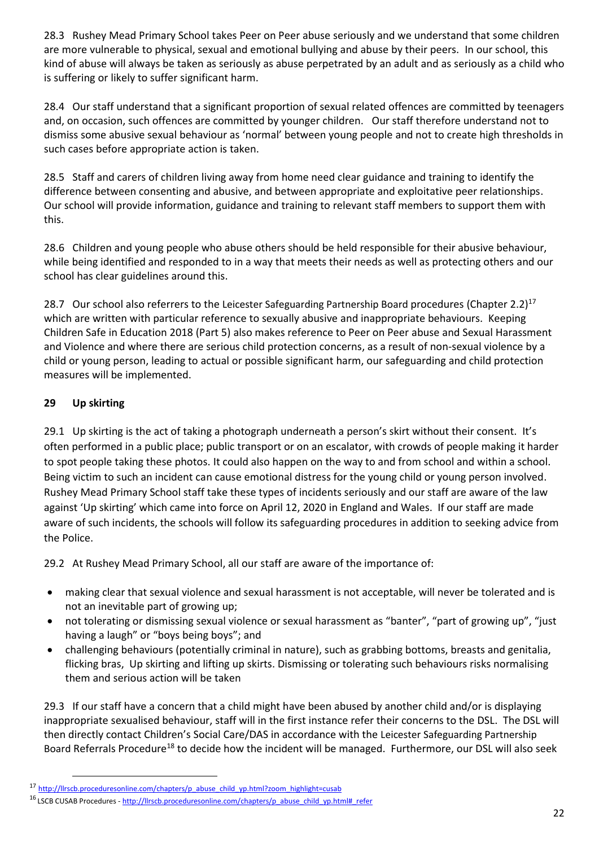28.3 Rushey Mead Primary School takes Peer on Peer abuse seriously and we understand that some children are more vulnerable to physical, sexual and emotional bullying and abuse by their peers. In our school, this kind of abuse will always be taken as seriously as abuse perpetrated by an adult and as seriously as a child who is suffering or likely to suffer [significant harm.](http://trixresources.proceduresonline.com/nat_key/keywords/significant_harm.html)

28.4 Our staff understand that a significant proportion of sexual related offences are committed by teenagers and, on occasion, such offences are committed by younger children. Our staff therefore understand not to dismiss some abusive sexual behaviour as 'normal' between young people and not to create high thresholds in such cases before appropriate action is taken.

28.5 Staff and carers of children living away from home need clear guidance and training to identify the difference between consenting and abusive, and between appropriate and exploitative peer relationships. Our school will provide information, guidance and training to relevant staff members to support them with this.

28.6 Children and young people who abuse others should be held responsible for their abusive behaviour, while being identified and responded to in a way that meets their needs as well as protecting others and our school has clear guidelines around this.

28.7 Our school also referrers to the Leicester Safeguarding Partnership Board procedures (Chapter 2.2)<sup>17</sup> which are written with particular reference to sexually abusive and inappropriate behaviours. Keeping Children Safe in Education 2018 (Part 5) also makes reference to Peer on Peer abuse and Sexual Harassment and Violence and where there are serious child protection concerns, as a result of non-sexual violence by a child or young person, leading to actual or possible significant harm, our safeguarding and child protection measures will be implemented.

## **29 Up skirting**

**.** 

29.1 Up skirting is the act of taking a photograph underneath a person's skirt without their consent. It's often performed in a public place; public transport or on an escalator, with crowds of people making it harder to spot people taking these photos. It could also happen on the way to and from school and within a school. Being victim to such an incident can cause emotional distress for the young child or young person involved. Rushey Mead Primary School staff take these types of incidents seriously and our staff are aware of the law against 'Up skirting' which came into force on April 12, 2020 in England and Wales. If our staff are made aware of such incidents, the schools will follow its safeguarding procedures in addition to seeking advice from the Police.

29.2 At Rushey Mead Primary School, all our staff are aware of the importance of:

- making clear that sexual violence and sexual harassment is not acceptable, will never be tolerated and is not an inevitable part of growing up;
- not tolerating or dismissing sexual violence or sexual harassment as "banter", "part of growing up", "just having a laugh" or "boys being boys"; and
- challenging behaviours (potentially criminal in nature), such as grabbing bottoms, breasts and genitalia, flicking bras, Up skirting and lifting up skirts. Dismissing or tolerating such behaviours risks normalising them and serious action will be taken

29.3 If our staff have a concern that a child might have been abused by another child and/or is displaying inappropriate sexualised behaviour, staff will in the first instance refer their concerns to the DSL. The DSL will then directly contact Children's Social Care/DAS in accordance with the Leicester Safeguarding Partnership Board [Referrals Procedure](http://llrscb.proceduresonline.com/chapters/p_referr.html)<sup>18</sup> to decide how the incident will be managed. Furthermore, our DSL will also seek

<sup>17</sup> [http://llrscb.proceduresonline.com/chapters/p\\_abuse\\_child\\_yp.html?zoom\\_highlight=cusab](http://llrscb.proceduresonline.com/chapters/p_abuse_child_yp.html?zoom_highlight=cusab)

<sup>16</sup> LSCB CUSAB Procedures - [http://llrscb.proceduresonline.com/chapters/p\\_abuse\\_child\\_yp.html#\\_refer](http://llrscb.proceduresonline.com/chapters/p_abuse_child_yp.html#_refer)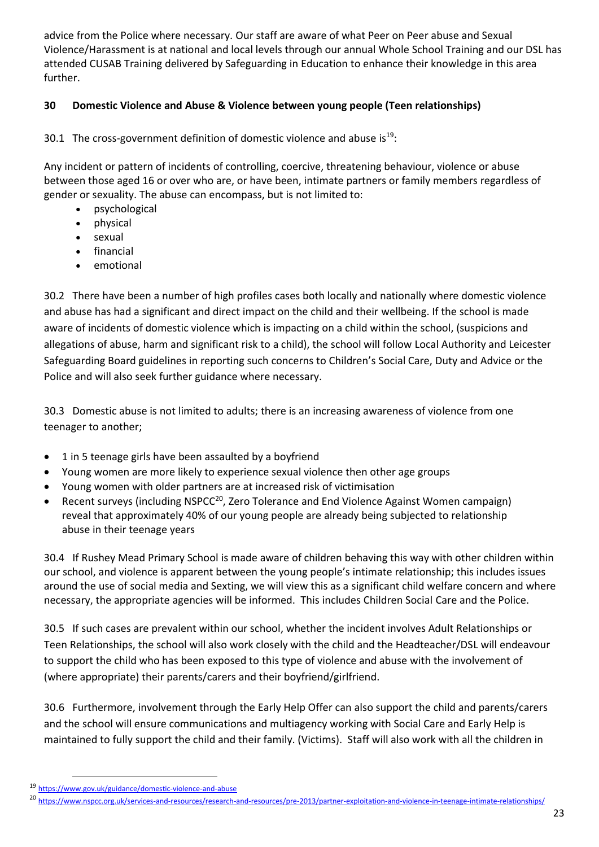advice from the Police where necessary. Our staff are aware of what Peer on Peer abuse and Sexual Violence/Harassment is at national and local levels through our annual Whole School Training and our DSL has attended CUSAB Training delivered by Safeguarding in Education to enhance their knowledge in this area further.

#### **30 Domestic Violence and Abuse & Violence between young people (Teen relationships)**

30.1 The cross-government definition of domestic violence and abuse is  $19$ :

Any incident or pattern of incidents of controlling, coercive, threatening behaviour, violence or abuse between those aged 16 or over who are, or have been, intimate partners or family members regardless of gender or sexuality. The abuse can encompass, but is not limited to:

- psychological
- physical
- sexual
- financial
- emotional

30.2 There have been a number of high profiles cases both locally and nationally where domestic violence and abuse has had a significant and direct impact on the child and their wellbeing. If the school is made aware of incidents of domestic violence which is impacting on a child within the school, (suspicions and allegations of abuse, harm and significant risk to a child), the school will follow Local Authority and Leicester Safeguarding Board guidelines in reporting such concerns to Children's Social Care, Duty and Advice or the Police and will also seek further guidance where necessary.

30.3 Domestic abuse is not limited to adults; there is an increasing awareness of violence from one teenager to another;

- 1 in 5 teenage girls have been assaulted by a boyfriend
- Young women are more likely to experience sexual violence then other age groups
- Young women with older partners are at increased risk of victimisation
- Recent surveys (including NSPCC<sup>20</sup>, Zero Tolerance and End Violence Against Women campaign) reveal that approximately 40% of our young people are already being subjected to relationship abuse in their teenage years

30.4 If Rushey Mead Primary School is made aware of children behaving this way with other children within our school, and violence is apparent between the young people's intimate relationship; this includes issues around the use of social media and Sexting, we will view this as a significant child welfare concern and where necessary, the appropriate agencies will be informed. This includes Children Social Care and the Police.

30.5 If such cases are prevalent within our school, whether the incident involves Adult Relationships or Teen Relationships, the school will also work closely with the child and the Headteacher/DSL will endeavour to support the child who has been exposed to this type of violence and abuse with the involvement of (where appropriate) their parents/carers and their boyfriend/girlfriend.

30.6 Furthermore, involvement through the Early Help Offer can also support the child and parents/carers and the school will ensure communications and multiagency working with Social Care and Early Help is maintained to fully support the child and their family. (Victims). Staff will also work with all the children in

**.** 

<sup>19</sup> <https://www.gov.uk/guidance/domestic-violence-and-abuse>

<sup>20</sup> <https://www.nspcc.org.uk/services-and-resources/research-and-resources/pre-2013/partner-exploitation-and-violence-in-teenage-intimate-relationships/>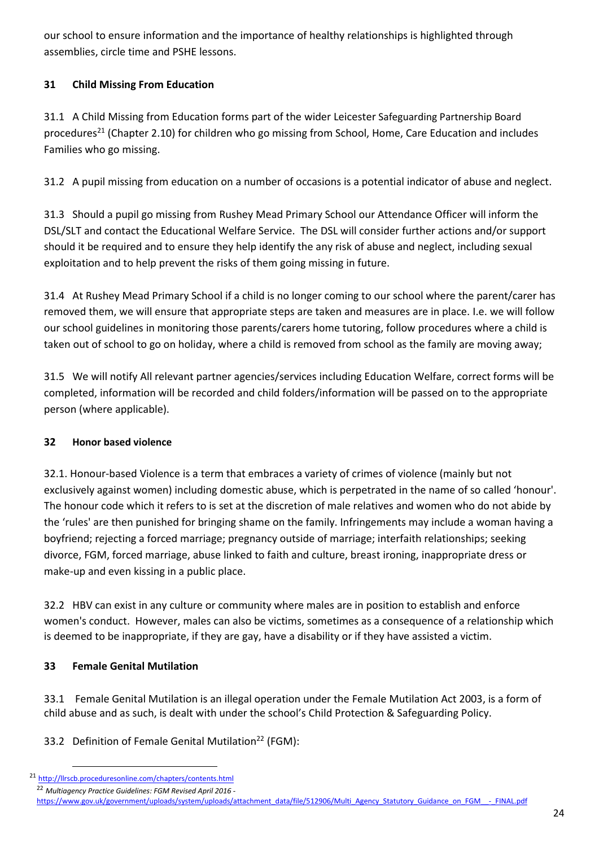our school to ensure information and the importance of healthy relationships is highlighted through assemblies, circle time and PSHE lessons.

## **31 Child Missing From Education**

31.1 A Child Missing from Education forms part of the wider Leicester Safeguarding Partnership Board procedures<sup>21</sup> (Chapter 2.10) for children who go missing from School, Home, Care Education and includes Families who go missing.

31.2 A pupil missing from education on a number of occasions is a potential indicator of abuse and neglect.

31.3 Should a pupil go missing from Rushey Mead Primary School our Attendance Officer will inform the DSL/SLT and contact the Educational Welfare Service. The DSL will consider further actions and/or support should it be required and to ensure they help identify the any risk of abuse and neglect, including sexual exploitation and to help prevent the risks of them going missing in future.

31.4 At Rushey Mead Primary School if a child is no longer coming to our school where the parent/carer has removed them, we will ensure that appropriate steps are taken and measures are in place. I.e. we will follow our school guidelines in monitoring those parents/carers home tutoring, follow procedures where a child is taken out of school to go on holiday, where a child is removed from school as the family are moving away;

31.5 We will notify All relevant partner agencies/services including Education Welfare, correct forms will be completed, information will be recorded and child folders/information will be passed on to the appropriate person (where applicable).

## **32 Honor based violence**

32.1. Honour-based Violence is a term that embraces a variety of crimes of violence (mainly but not exclusively against women) including domestic abuse, which is perpetrated in the name of so called 'honour'. The honour code which it refers to is set at the discretion of male relatives and women who do not abide by the 'rules' are then punished for bringing shame on the family. Infringements may include a woman having a boyfriend; rejecting a forced marriage; pregnancy outside of marriage; interfaith relationships; seeking divorce, FGM, forced marriage, abuse linked to faith and culture, breast ironing, inappropriate dress or make-up and even kissing in a public place.

32.2 HBV can exist in any culture or community where males are in position to establish and enforce women's conduct. However, males can also be victims, sometimes as a consequence of a relationship which is deemed to be inappropriate, if they are gay, have a disability or if they have assisted a victim.

## **33 Female Genital Mutilation**

**.** 

33.1 Female Genital Mutilation is an illegal operation under the Female Mutilation Act 2003, is a form of child abuse and as such, is dealt with under the school's Child Protection & Safeguarding Policy.

33.2 Definition of Female Genital Mutilation<sup>22</sup> (FGM):

<sup>21</sup> <http://llrscb.proceduresonline.com/chapters/contents.html> <sup>22</sup> *Multiagency Practice Guidelines: FGM Revised April 2016*  [https://www.gov.uk/government/uploads/system/uploads/attachment\\_data/file/512906/Multi\\_Agency\\_Statutory\\_Guidance\\_on\\_FGM\\_\\_-\\_FINAL.pdf](https://www.gov.uk/government/uploads/system/uploads/attachment_data/file/512906/Multi_Agency_Statutory_Guidance_on_FGM__-_FINAL.pdf)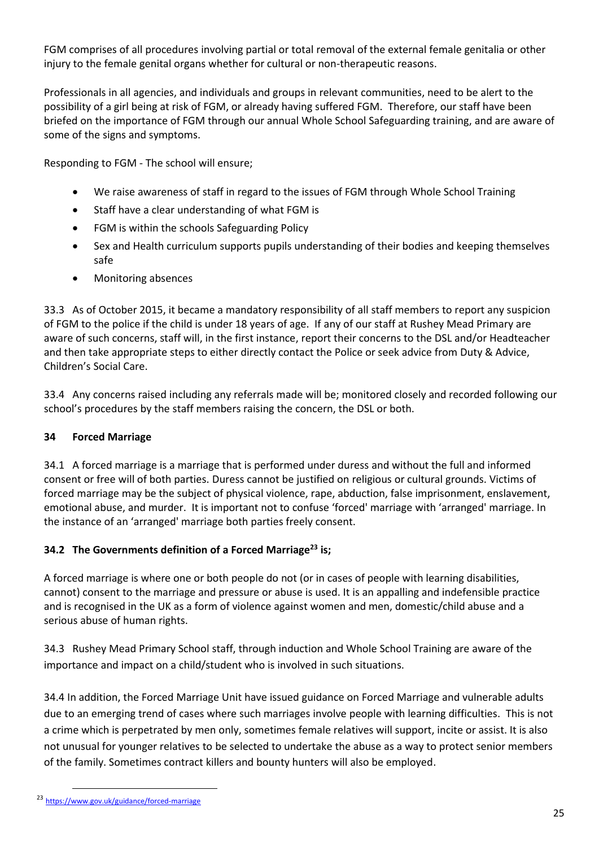FGM comprises of all procedures involving partial or total removal of the external female genitalia or other injury to the female genital organs whether for cultural or non-therapeutic reasons.

Professionals in all agencies, and individuals and groups in relevant communities, need to be alert to the possibility of a girl being at risk of FGM, or already having suffered FGM. Therefore, our staff have been briefed on the importance of FGM through our annual Whole School Safeguarding training, and are aware of some of the signs and symptoms.

Responding to FGM - The school will ensure;

- We raise awareness of staff in regard to the issues of FGM through Whole School Training
- Staff have a clear understanding of what FGM is
- FGM is within the schools Safeguarding Policy
- Sex and Health curriculum supports pupils understanding of their bodies and keeping themselves safe
- Monitoring absences

33.3 As of October 2015, it became a mandatory responsibility of all staff members to report any suspicion of FGM to the police if the child is under 18 years of age. If any of our staff at Rushey Mead Primary are aware of such concerns, staff will, in the first instance, report their concerns to the DSL and/or Headteacher and then take appropriate steps to either directly contact the Police or seek advice from Duty & Advice, Children's Social Care.

33.4 Any concerns raised including any referrals made will be; monitored closely and recorded following our school's procedures by the staff members raising the concern, the DSL or both.

#### **34 Forced Marriage**

34.1 A forced marriage is a marriage that is performed under duress and without the full and informed consent or free will of both parties. Duress cannot be justified on religious or cultural grounds. Victims of forced marriage may be the subject of physical violence, rape, abduction, false imprisonment, enslavement, emotional abuse, and murder. It is important not to confuse 'forced' marriage with 'arranged' marriage. In the instance of an 'arranged' marriage both parties freely consent.

## **34.2 The Governments definition of a Forced Marriage<sup>23</sup> is;**

A forced marriage is where one or both people do not (or in cases of people with learning disabilities, cannot) consent to the marriage and pressure or abuse is used. It is an appalling and indefensible practice and is recognised in the UK as a form of violence against women and men, domestic/child abuse and a serious abuse of human rights.

34.3 Rushey Mead Primary School staff, through induction and Whole School Training are aware of the importance and impact on a child/student who is involved in such situations.

34.4 In addition, the Forced Marriage Unit have issued guidance on Forced Marriage and vulnerable adults due to an emerging trend of cases where such marriages involve people with learning difficulties. This is not a crime which is perpetrated by men only, sometimes female relatives will support, incite or assist. It is also not unusual for younger relatives to be selected to undertake the abuse as a way to protect senior members of the family. Sometimes contract killers and bounty hunters will also be employed.

**.** 

<sup>23</sup> <https://www.gov.uk/guidance/forced-marriage>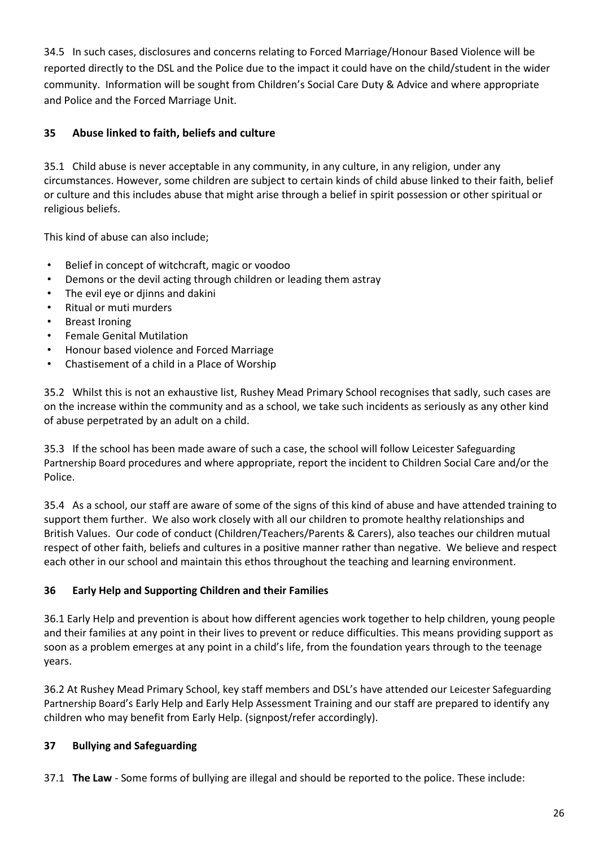34.5 In such cases, disclosures and concerns relating to Forced Marriage/Honour Based Violence will be reported directly to the DSL and the Police due to the impact it could have on the child/student in the wider community. Information will be sought from Children's Social Care Duty & Advice and where appropriate and Police and the Forced Marriage Unit.

## **35 Abuse linked to faith, beliefs and culture**

35.1 Child abuse is never acceptable in any community, in any culture, in any religion, under any circumstances. However, some children are subject to certain kinds of child abuse linked to their faith, belief or culture and this includes abuse that might arise through a belief in spirit possession or other spiritual or religious beliefs.

This kind of abuse can also include;

- Belief in concept of witchcraft, magic or voodoo
- Demons or the devil acting through children or leading them astray
- The evil eve or diinns and dakini
- Ritual or muti murders
- Breast Ironing
- Female Genital Mutilation
- Honour based violence and Forced Marriage
- Chastisement of a child in a Place of Worship

35.2 Whilst this is not an exhaustive list, Rushey Mead Primary School recognises that sadly, such cases are on the increase within the community and as a school, we take such incidents as seriously as any other kind of abuse perpetrated by an adult on a child.

35.3 If the school has been made aware of such a case, the school will follow Leicester Safeguarding Partnership Board procedures and where appropriate, report the incident to Children Social Care and/or the Police.

35.4 As a school, our staff are aware of some of the signs of this kind of abuse and have attended training to support them further. We also work closely with all our children to promote healthy relationships and British Values. Our code of conduct (Children/Teachers/Parents & Carers), also teaches our children mutual respect of other faith, beliefs and cultures in a positive manner rather than negative. We believe and respect each other in our school and maintain this ethos throughout the teaching and learning environment.

#### **36 Early Help and Supporting Children and their Families**

36.1 Early Help and prevention is about how different agencies work together to help children, young people and their families at any point in their lives to prevent or reduce difficulties. This means providing support as soon as a problem emerges at any point in a child's life, from the foundation years through to the teenage years.

36.2 At Rushey Mead Primary School, key staff members and DSL's have attended our Leicester Safeguarding Partnership Board's Early Help and Early Help Assessment Training and our staff are prepared to identify any children who may benefit from Early Help. (signpost/refer accordingly).

## **37 Bullying and Safeguarding**

37.1 **The Law** - Some forms of bullying are illegal and should be [reported to the police.](http://www.police.uk/) These include: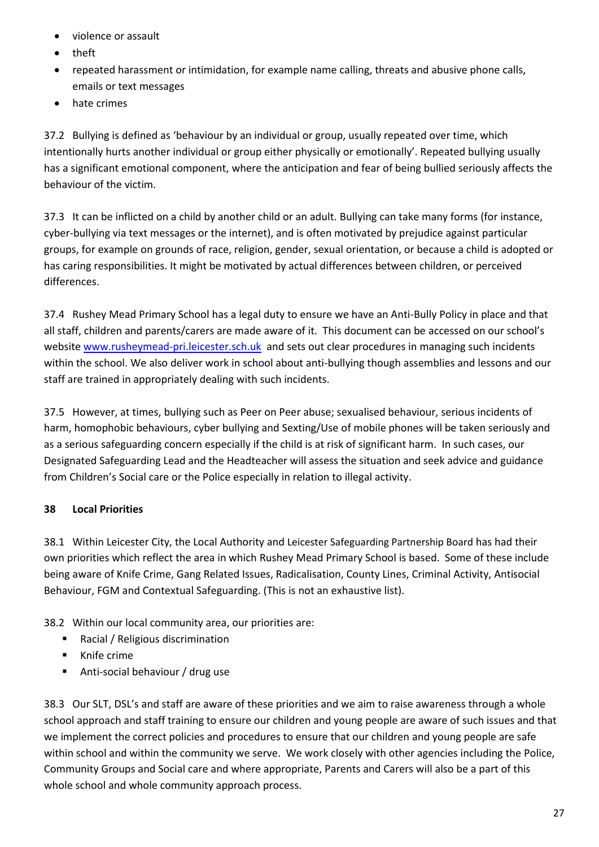- violence or assault
- theft
- repeated harassment or intimidation, for example name calling, threats and abusive phone calls, emails or text messages
- hate crimes

37.2 Bullying is defined as 'behaviour by an individual or group, usually repeated over time, which intentionally hurts another individual or group either physically or emotionally'. Repeated bullying usually has a significant emotional component, where the anticipation and fear of being bullied seriously affects the behaviour of the victim.

37.3 It can be inflicted on a child by another child or an adult. Bullying can take many forms (for instance, cyber-bullying via text messages or the internet), and is often motivated by prejudice against particular groups, for example on grounds of race, religion, gender, sexual orientation, or because a child is adopted or has caring responsibilities. It might be motivated by actual differences between children, or perceived differences.

37.4 Rushey Mead Primary School has a legal duty to ensure we have an Anti-Bully Policy in place and that all staff, children and parents/carers are made aware of it. This document can be accessed on our school's website [www.rusheymead-pri.leicester.sch.uk](http://www.rusheymead-pri.leicester.sch.uk/) and sets out clear procedures in managing such incidents within the school. We also deliver work in school about anti-bullying though assemblies and lessons and our staff are trained in appropriately dealing with such incidents.

37.5 However, at times, bullying such as Peer on Peer abuse; sexualised behaviour, serious incidents of harm, homophobic behaviours, cyber bullying and Sexting/Use of mobile phones will be taken seriously and as a serious safeguarding concern especially if the child is at risk of significant harm. In such cases, our Designated Safeguarding Lead and the Headteacher will assess the situation and seek advice and guidance from Children's Social care or the Police especially in relation to illegal activity.

## **38 Local Priorities**

38.1 Within Leicester City, the Local Authority and Leicester Safeguarding Partnership Board has had their own priorities which reflect the area in which Rushey Mead Primary School is based. Some of these include being aware of Knife Crime, Gang Related Issues, Radicalisation, County Lines, Criminal Activity, Antisocial Behaviour, FGM and Contextual Safeguarding. (This is not an exhaustive list).

38.2 Within our local community area, our priorities are:

- Racial / Religious discrimination
- Knife crime
- Anti-social behaviour / drug use

38.3 Our SLT, DSL's and staff are aware of these priorities and we aim to raise awareness through a whole school approach and staff training to ensure our children and young people are aware of such issues and that we implement the correct policies and procedures to ensure that our children and young people are safe within school and within the community we serve. We work closely with other agencies including the Police, Community Groups and Social care and where appropriate, Parents and Carers will also be a part of this whole school and whole community approach process.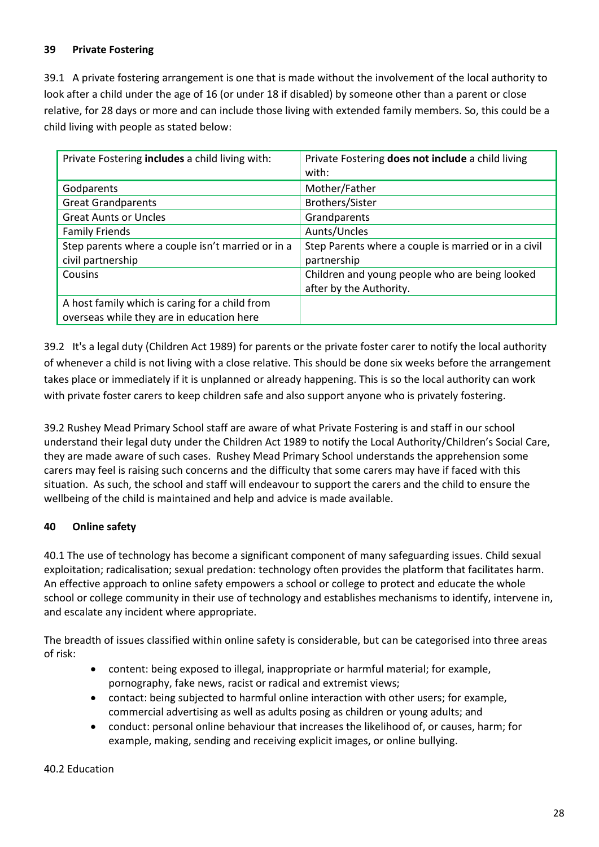### **39 Private Fostering**

39.1 A private fostering arrangement is one that is made without the involvement of the local authority to look after a child under the age of 16 (or under 18 if disabled) by someone other than a parent or close relative, for 28 days or more and can include those living with extended family members. So, this could be a child living with people as stated below:

| Private Fostering includes a child living with:                                             | Private Fostering does not include a child living<br>with:                |
|---------------------------------------------------------------------------------------------|---------------------------------------------------------------------------|
| Godparents                                                                                  | Mother/Father                                                             |
| <b>Great Grandparents</b>                                                                   | <b>Brothers/Sister</b>                                                    |
| <b>Great Aunts or Uncles</b>                                                                | Grandparents                                                              |
| <b>Family Friends</b>                                                                       | Aunts/Uncles                                                              |
| Step parents where a couple isn't married or in a<br>civil partnership                      | Step Parents where a couple is married or in a civil<br>partnership       |
| Cousins                                                                                     | Children and young people who are being looked<br>after by the Authority. |
| A host family which is caring for a child from<br>overseas while they are in education here |                                                                           |

39.2 It's a legal duty (Children Act 1989) for parents or the private foster carer to notify the local authority of whenever a child is not living with a close relative. This should be done six weeks before the arrangement takes place or immediately if it is unplanned or already happening. This is so the local authority can work with private foster carers to keep children safe and also support anyone who is privately fostering.

39.2 Rushey Mead Primary School staff are aware of what Private Fostering is and staff in our school understand their legal duty under the Children Act 1989 to notify the Local Authority/Children's Social Care, they are made aware of such cases. Rushey Mead Primary School understands the apprehension some carers may feel is raising such concerns and the difficulty that some carers may have if faced with this situation. As such, the school and staff will endeavour to support the carers and the child to ensure the wellbeing of the child is maintained and help and advice is made available.

## **40 Online safety**

40.1 The use of technology has become a significant component of many safeguarding issues. Child sexual exploitation; radicalisation; sexual predation: technology often provides the platform that facilitates harm. An effective approach to online safety empowers a school or college to protect and educate the whole school or college community in their use of technology and establishes mechanisms to identify, intervene in, and escalate any incident where appropriate.

The breadth of issues classified within online safety is considerable, but can be categorised into three areas of risk:

- content: being exposed to illegal, inappropriate or harmful material; for example, pornography, fake news, racist or radical and extremist views;
- contact: being subjected to harmful online interaction with other users; for example, commercial advertising as well as adults posing as children or young adults; and
- conduct: personal online behaviour that increases the likelihood of, or causes, harm; for example, making, sending and receiving explicit images, or online bullying.

#### 40.2 Education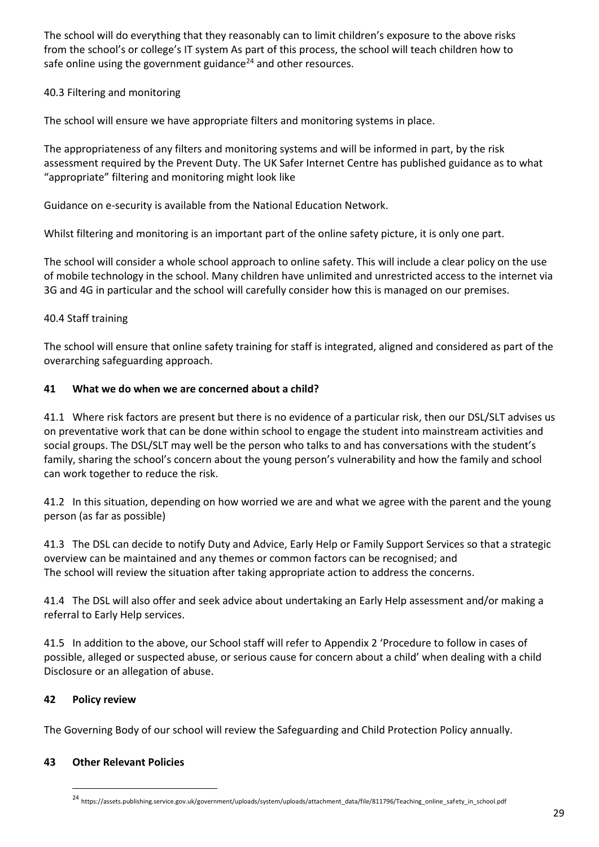The school will do everything that they reasonably can to limit children's exposure to the above risks from the school's or college's IT system As part of this process, the school will teach children how to safe online using the government guidance<sup>24</sup> and other resources.

#### 40.3 Filtering and monitoring

The school will ensure we have appropriate filters and monitoring systems in place.

The appropriateness of any filters and monitoring systems and will be informed in part, by the risk assessment required by the Prevent Duty. The UK Safer Internet Centre has published guidance as to what "appropriate" filtering and monitoring might look like

Guidance on e-security is available from the National Education Network.

Whilst filtering and monitoring is an important part of the online safety picture, it is only one part.

The school will consider a whole school approach to online safety. This will include a clear policy on the use of mobile technology in the school. Many children have unlimited and unrestricted access to the internet via 3G and 4G in particular and the school will carefully consider how this is managed on our premises.

#### 40.4 Staff training

The school will ensure that online safety training for staff is integrated, aligned and considered as part of the overarching safeguarding approach.

#### **41 What we do when we are concerned about a child?**

41.1 Where risk factors are present but there is no evidence of a particular risk, then our DSL/SLT advises us on preventative work that can be done within school to engage the student into mainstream activities and social groups. The DSL/SLT may well be the person who talks to and has conversations with the student's family, sharing the school's concern about the young person's vulnerability and how the family and school can work together to reduce the risk.

41.2 In this situation, depending on how worried we are and what we agree with the parent and the young person (as far as possible)

41.3 The DSL can decide to notify Duty and Advice, Early Help or Family Support Services so that a strategic overview can be maintained and any themes or common factors can be recognised; and The school will review the situation after taking appropriate action to address the concerns.

41.4 The DSL will also offer and seek advice about undertaking an Early Help assessment and/or making a referral to Early Help services.

41.5 In addition to the above, our School staff will refer to Appendix 2 'Procedure to follow in cases of possible, alleged or suspected abuse, or serious cause for concern about a child' when dealing with a child Disclosure or an allegation of abuse.

#### **42 Policy review**

**.** 

The Governing Body of our school will review the Safeguarding and Child Protection Policy annually.

#### **43 Other Relevant Policies**

<sup>24</sup> https://assets.publishing.service.gov.uk/government/uploads/system/uploads/attachment\_data/file/811796/Teaching\_online\_safety\_in\_school.pdf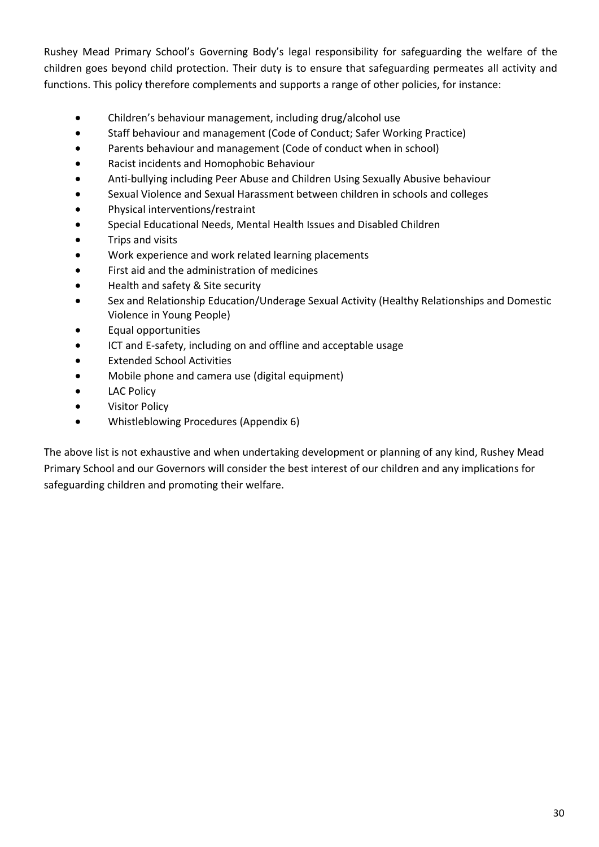Rushey Mead Primary School's Governing Body's legal responsibility for safeguarding the welfare of the children goes beyond child protection. Their duty is to ensure that safeguarding permeates all activity and functions. This policy therefore complements and supports a range of other policies, for instance:

- Children's behaviour management, including drug/alcohol use
- Staff behaviour and management (Code of Conduct; Safer Working Practice)
- Parents behaviour and management (Code of conduct when in school)
- Racist incidents and Homophobic Behaviour
- Anti-bullying including Peer Abuse and Children Using Sexually Abusive behaviour
- Sexual Violence and Sexual Harassment between children in schools and colleges
- Physical interventions/restraint
- Special Educational Needs, Mental Health Issues and Disabled Children
- Trips and visits
- Work experience and work related learning placements
- First aid and the administration of medicines
- Health and safety & Site security
- Sex and Relationship Education/Underage Sexual Activity (Healthy Relationships and Domestic Violence in Young People)
- Equal opportunities
- ICT and E-safety, including on and offline and acceptable usage
- Extended School Activities
- Mobile phone and camera use (digital equipment)
- LAC Policy
- Visitor Policy
- Whistleblowing Procedures (Appendix 6)

The above list is not exhaustive and when undertaking development or planning of any kind, Rushey Mead Primary School and our Governors will consider the best interest of our children and any implications for safeguarding children and promoting their welfare.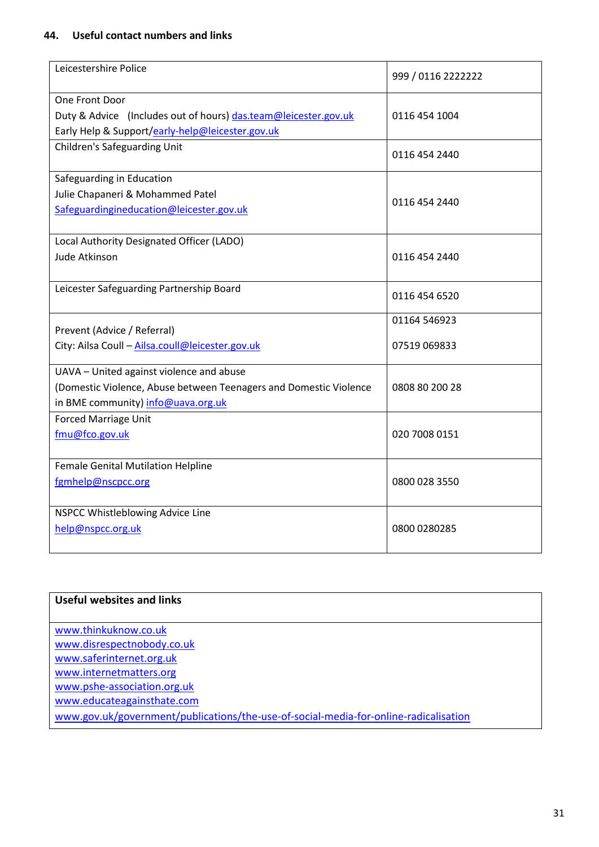#### **44. Useful contact numbers and links**

| Leicestershire Police                                                                                                                               | 999 / 0116 2222222 |
|-----------------------------------------------------------------------------------------------------------------------------------------------------|--------------------|
| One Front Door<br>Duty & Advice (Includes out of hours) das.team@leicester.gov.uk<br>Early Help & Support/early-help@leicester.gov.uk               | 0116 454 1004      |
| <b>Children's Safeguarding Unit</b>                                                                                                                 | 0116 454 2440      |
| Safeguarding in Education<br>Julie Chapaneri & Mohammed Patel<br>Safeguardingineducation@leicester.gov.uk                                           | 0116 454 2440      |
| Local Authority Designated Officer (LADO)<br>Jude Atkinson                                                                                          | 0116 454 2440      |
| Leicester Safeguarding Partnership Board                                                                                                            | 0116 454 6520      |
| Prevent (Advice / Referral)                                                                                                                         | 01164 546923       |
| City: Ailsa Coull - Ailsa.coull@leicester.gov.uk                                                                                                    | 07519 069833       |
| UAVA - United against violence and abuse<br>(Domestic Violence, Abuse between Teenagers and Domestic Violence<br>in BME community) info@uava.org.uk | 0808 80 200 28     |
| <b>Forced Marriage Unit</b><br>fmu@fco.gov.uk                                                                                                       | 020 7008 0151      |
| Female Genital Mutilation Helpline<br>fgmhelp@nscpcc.org                                                                                            | 0800 028 3550      |
| NSPCC Whistleblowing Advice Line<br>help@nspcc.org.uk                                                                                               | 0800 0280285       |

| Useful websites and links                                                            |
|--------------------------------------------------------------------------------------|
|                                                                                      |
| www.thinkuknow.co.uk                                                                 |
| www.disrespectnobody.co.uk                                                           |
| www.saferinternet.org.uk                                                             |
| www.internetmatters.org                                                              |
| www.pshe-association.org.uk                                                          |
| www.educateagainsthate.com                                                           |
| www.gov.uk/government/publications/the-use-of-social-media-for-online-radicalisation |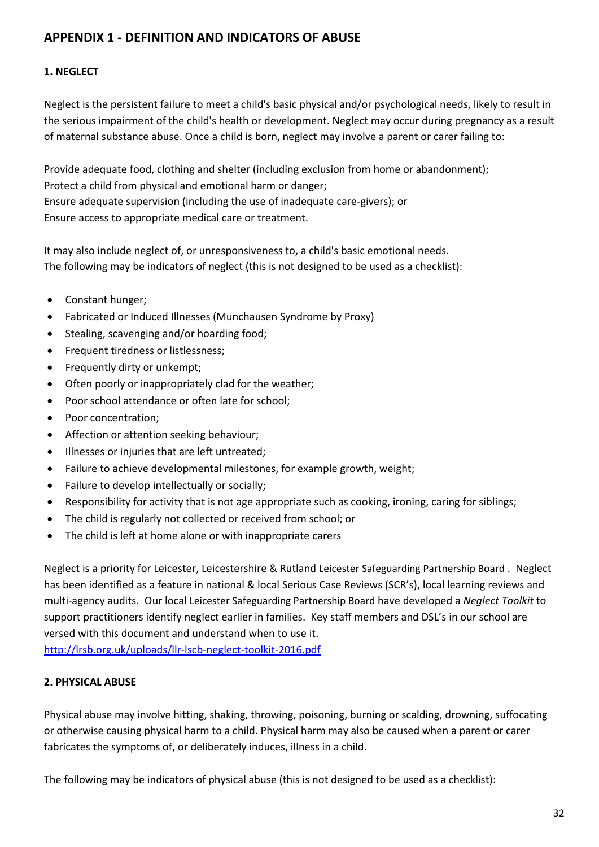## **APPENDIX 1 - DEFINITION AND INDICATORS OF ABUSE**

### **1. NEGLECT**

Neglect is the persistent failure to meet a child's basic physical and/or psychological needs, likely to result in the serious impairment of the child's health or development. Neglect may occur during pregnancy as a result of maternal substance abuse. Once a child is born, neglect may involve a parent or carer failing to:

Provide adequate food, clothing and shelter (including exclusion from home or abandonment); Protect a child from physical and emotional harm or danger; Ensure adequate supervision (including the use of inadequate care-givers); or Ensure access to appropriate medical care or treatment.

It may also include neglect of, or unresponsiveness to, a child's basic emotional needs. The following may be indicators of neglect (this is not designed to be used as a checklist):

- Constant hunger;
- Fabricated or Induced Illnesses (Munchausen Syndrome by Proxy)
- Stealing, scavenging and/or hoarding food;
- Frequent tiredness or listlessness;
- Frequently dirty or unkempt;
- Often poorly or inappropriately clad for the weather;
- Poor school attendance or often late for school;
- Poor concentration;
- Affection or attention seeking behaviour;
- Illnesses or injuries that are left untreated;
- Failure to achieve developmental milestones, for example growth, weight;
- Failure to develop intellectually or socially;
- Responsibility for activity that is not age appropriate such as cooking, ironing, caring for siblings;
- The child is regularly not collected or received from school; or
- The child is left at home alone or with inappropriate carers

Neglect is a priority for Leicester, Leicestershire & Rutland Leicester Safeguarding Partnership Board . Neglect has been identified as a feature in national & local Serious Case Reviews (SCR's), local learning reviews and multi-agency audits. Our local Leicester Safeguarding Partnership Board have developed a *Neglect Toolkit* to support practitioners identify neglect earlier in families. Key staff members and DSL's in our school are versed with this document and understand when to use it. <http://lrsb.org.uk/uploads/llr-lscb-neglect-toolkit-2016.pdf>

## **2. PHYSICAL ABUSE**

Physical abuse may involve hitting, shaking, throwing, poisoning, burning or scalding, drowning, suffocating or otherwise causing physical harm to a child. Physical harm may also be caused when a parent or carer fabricates the symptoms of, or deliberately induces, illness in a child.

The following may be indicators of physical abuse (this is not designed to be used as a checklist):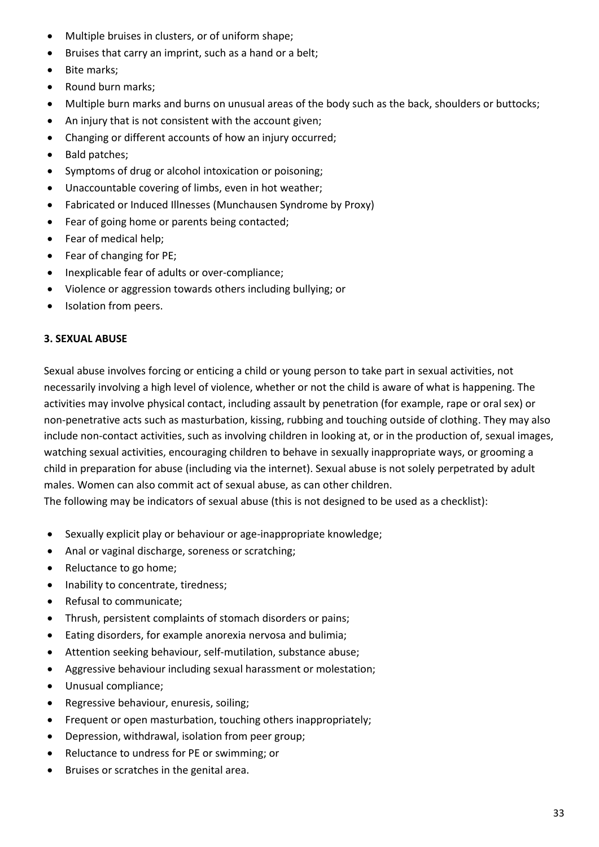- Multiple bruises in clusters, or of uniform shape;
- Bruises that carry an imprint, such as a hand or a belt;
- Bite marks;
- Round burn marks;
- Multiple burn marks and burns on unusual areas of the body such as the back, shoulders or buttocks;
- An injury that is not consistent with the account given;
- Changing or different accounts of how an injury occurred;
- Bald patches;
- Symptoms of drug or alcohol intoxication or poisoning;
- Unaccountable covering of limbs, even in hot weather;
- Fabricated or Induced Illnesses (Munchausen Syndrome by Proxy)
- Fear of going home or parents being contacted;
- Fear of medical help;
- Fear of changing for PE;
- Inexplicable fear of adults or over-compliance;
- Violence or aggression towards others including bullying; or
- Isolation from peers.

#### **3. SEXUAL ABUSE**

Sexual abuse involves forcing or enticing a child or young person to take part in sexual activities, not necessarily involving a high level of violence, whether or not the child is aware of what is happening. The activities may involve physical contact, including assault by penetration (for example, rape or oral sex) or non-penetrative acts such as masturbation, kissing, rubbing and touching outside of clothing. They may also include non-contact activities, such as involving children in looking at, or in the production of, sexual images, watching sexual activities, encouraging children to behave in sexually inappropriate ways, or grooming a child in preparation for abuse (including via the internet). Sexual abuse is not solely perpetrated by adult males. Women can also commit act of sexual abuse, as can other children.

The following may be indicators of sexual abuse (this is not designed to be used as a checklist):

- Sexually explicit play or behaviour or age-inappropriate knowledge;
- Anal or vaginal discharge, soreness or scratching;
- Reluctance to go home;
- Inability to concentrate, tiredness;
- Refusal to communicate;
- Thrush, persistent complaints of stomach disorders or pains;
- Eating disorders, for example anorexia nervosa and bulimia;
- Attention seeking behaviour, self-mutilation, substance abuse;
- Aggressive behaviour including sexual harassment or molestation;
- Unusual compliance;
- Regressive behaviour, enuresis, soiling;
- Frequent or open masturbation, touching others inappropriately;
- Depression, withdrawal, isolation from peer group;
- Reluctance to undress for PE or swimming; or
- Bruises or scratches in the genital area.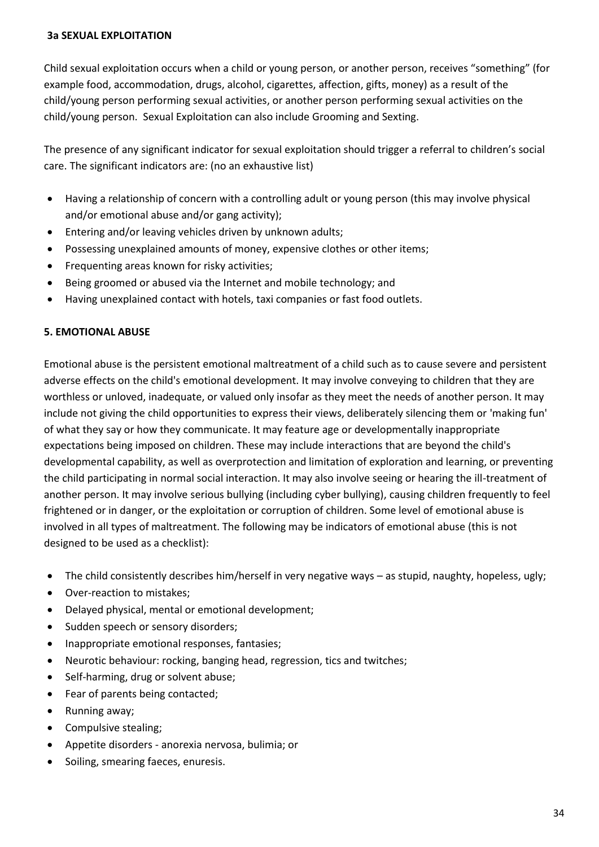#### **3a SEXUAL EXPLOITATION**

Child sexual exploitation occurs when a child or young person, or another person, receives "something" (for example food, accommodation, drugs, alcohol, cigarettes, affection, gifts, money) as a result of the child/young person performing sexual activities, or another person performing sexual activities on the child/young person. Sexual Exploitation can also include Grooming and Sexting.

The presence of any significant indicator for sexual exploitation should trigger a referral to children's social care. The significant indicators are: (no an exhaustive list)

- Having a relationship of concern with a controlling adult or young person (this may involve physical and/or emotional abuse and/or gang activity);
- Entering and/or leaving vehicles driven by unknown adults;
- Possessing unexplained amounts of money, expensive clothes or other items;
- Frequenting areas known for risky activities;
- Being groomed or abused via the Internet and mobile technology; and
- Having unexplained contact with hotels, taxi companies or fast food outlets.

#### **5. EMOTIONAL ABUSE**

Emotional abuse is the persistent emotional maltreatment of a child such as to cause severe and persistent adverse effects on the child's emotional development. It may involve conveying to children that they are worthless or unloved, inadequate, or valued only insofar as they meet the needs of another person. It may include not giving the child opportunities to express their views, deliberately silencing them or 'making fun' of what they say or how they communicate. It may feature age or developmentally inappropriate expectations being imposed on children. These may include interactions that are beyond the child's developmental capability, as well as overprotection and limitation of exploration and learning, or preventing the child participating in normal social interaction. It may also involve seeing or hearing the ill-treatment of another person. It may involve serious bullying (including cyber bullying), causing children frequently to feel frightened or in danger, or the exploitation or corruption of children. Some level of emotional abuse is involved in all types of maltreatment. The following may be indicators of emotional abuse (this is not designed to be used as a checklist):

- The child consistently describes him/herself in very negative ways as stupid, naughty, hopeless, ugly;
- Over-reaction to mistakes;
- Delayed physical, mental or emotional development;
- Sudden speech or sensory disorders;
- Inappropriate emotional responses, fantasies;
- Neurotic behaviour: rocking, banging head, regression, tics and twitches;
- Self-harming, drug or solvent abuse;
- Fear of parents being contacted;
- Running away;
- Compulsive stealing;
- Appetite disorders anorexia nervosa, bulimia; or
- Soiling, smearing faeces, enuresis.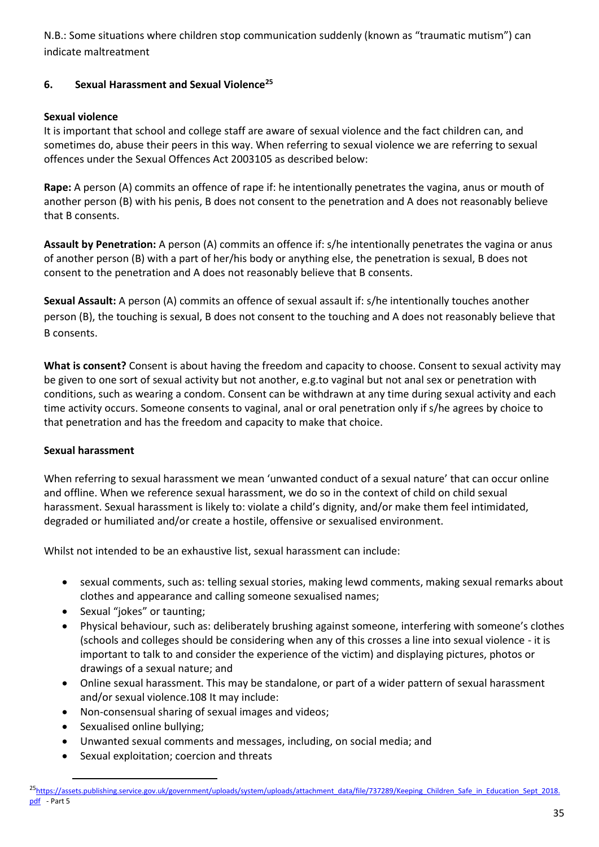N.B.: Some situations where children stop communication suddenly (known as "traumatic mutism") can indicate maltreatment

### **6. Sexual Harassment and Sexual Violence<sup>25</sup>**

### **Sexual violence**

It is important that school and college staff are aware of sexual violence and the fact children can, and sometimes do, abuse their peers in this way. When referring to sexual violence we are referring to sexual offences under the Sexual Offences Act 2003105 as described below:

**Rape:** A person (A) commits an offence of rape if: he intentionally penetrates the vagina, anus or mouth of another person (B) with his penis, B does not consent to the penetration and A does not reasonably believe that B consents.

**Assault by Penetration:** A person (A) commits an offence if: s/he intentionally penetrates the vagina or anus of another person (B) with a part of her/his body or anything else, the penetration is sexual, B does not consent to the penetration and A does not reasonably believe that B consents.

**Sexual Assault:** A person (A) commits an offence of sexual assault if: s/he intentionally touches another person (B), the touching is sexual, B does not consent to the touching and A does not reasonably believe that B consents.

**What is consent?** Consent is about having the freedom and capacity to choose. Consent to sexual activity may be given to one sort of sexual activity but not another, e.g.to vaginal but not anal sex or penetration with conditions, such as wearing a condom. Consent can be withdrawn at any time during sexual activity and each time activity occurs. Someone consents to vaginal, anal or oral penetration only if s/he agrees by choice to that penetration and has the freedom and capacity to make that choice.

#### **Sexual harassment**

When referring to sexual harassment we mean 'unwanted conduct of a sexual nature' that can occur online and offline. When we reference sexual harassment, we do so in the context of child on child sexual harassment. Sexual harassment is likely to: violate a child's dignity, and/or make them feel intimidated, degraded or humiliated and/or create a hostile, offensive or sexualised environment.

Whilst not intended to be an exhaustive list, sexual harassment can include:

- sexual comments, such as: telling sexual stories, making lewd comments, making sexual remarks about clothes and appearance and calling someone sexualised names;
- Sexual "jokes" or taunting;
- Physical behaviour, such as: deliberately brushing against someone, interfering with someone's clothes (schools and colleges should be considering when any of this crosses a line into sexual violence - it is important to talk to and consider the experience of the victim) and displaying pictures, photos or drawings of a sexual nature; and
- Online sexual harassment. This may be standalone, or part of a wider pattern of sexual harassment and/or sexual violence.108 It may include:
- Non-consensual sharing of sexual images and videos;
- Sexualised online bullying;

**.** 

- Unwanted sexual comments and messages, including, on social media; and
- Sexual exploitation; coercion and threats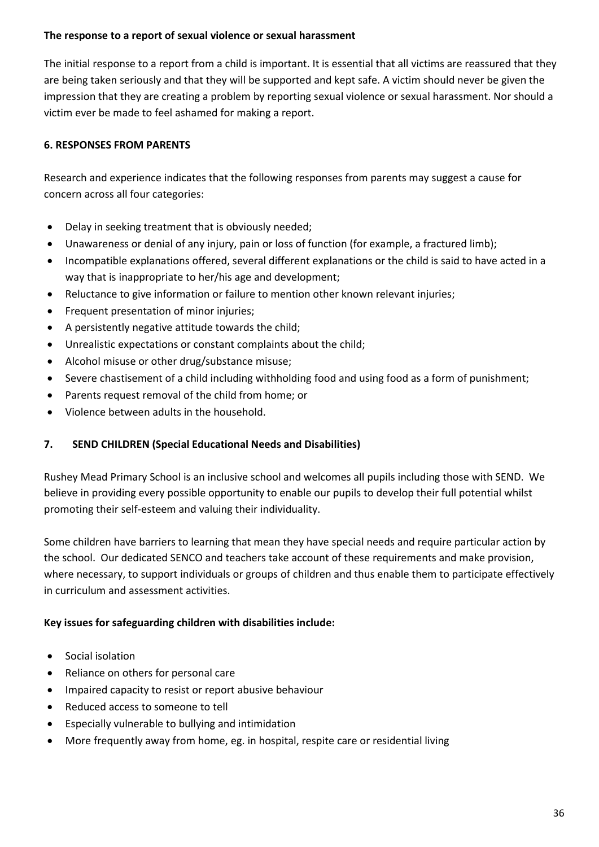#### **The response to a report of sexual violence or sexual harassment**

The initial response to a report from a child is important. It is essential that all victims are reassured that they are being taken seriously and that they will be supported and kept safe. A victim should never be given the impression that they are creating a problem by reporting sexual violence or sexual harassment. Nor should a victim ever be made to feel ashamed for making a report.

### **6. RESPONSES FROM PARENTS**

Research and experience indicates that the following responses from parents may suggest a cause for concern across all four categories:

- Delay in seeking treatment that is obviously needed;
- Unawareness or denial of any injury, pain or loss of function (for example, a fractured limb);
- Incompatible explanations offered, several different explanations or the child is said to have acted in a way that is inappropriate to her/his age and development;
- Reluctance to give information or failure to mention other known relevant injuries;
- Frequent presentation of minor injuries;
- A persistently negative attitude towards the child;
- Unrealistic expectations or constant complaints about the child;
- Alcohol misuse or other drug/substance misuse;
- Severe chastisement of a child including withholding food and using food as a form of punishment;
- Parents request removal of the child from home; or
- Violence between adults in the household.

#### **7. SEND CHILDREN (Special Educational Needs and Disabilities)**

Rushey Mead Primary School is an inclusive school and welcomes all pupils including those with SEND. We believe in providing every possible opportunity to enable our pupils to develop their full potential whilst promoting their self-esteem and valuing their individuality.

Some children have barriers to learning that mean they have special needs and require particular action by the school. Our dedicated SENCO and teachers take account of these requirements and make provision, where necessary, to support individuals or groups of children and thus enable them to participate effectively in curriculum and assessment activities.

#### **Key issues for safeguarding children with disabilities include:**

- Social isolation
- Reliance on others for personal care
- Impaired capacity to resist or report abusive behaviour
- Reduced access to someone to tell
- Especially vulnerable to bullying and intimidation
- More frequently away from home, eg. in hospital, respite care or residential living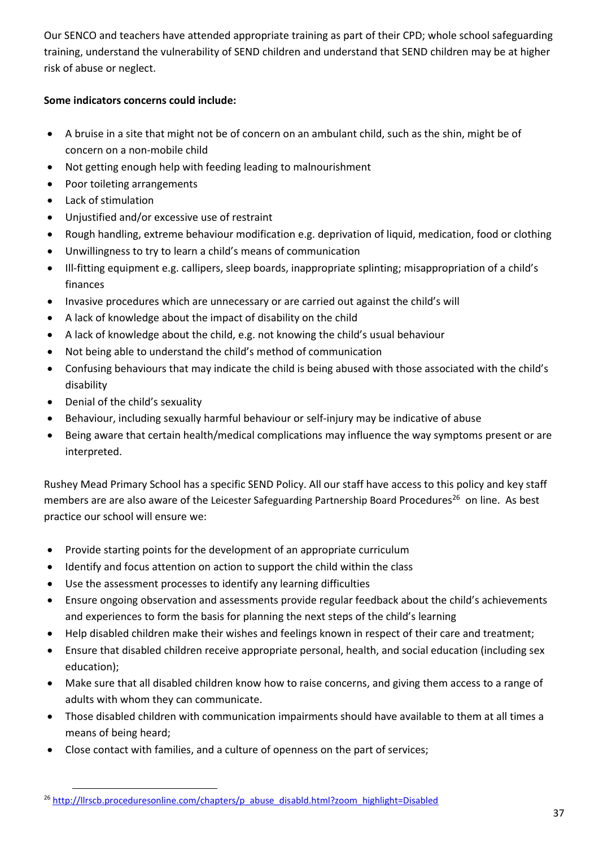Our SENCO and teachers have attended appropriate training as part of their CPD; whole school safeguarding training, understand the vulnerability of SEND children and understand that SEND children may be at higher risk of abuse or neglect.

### **Some indicators concerns could include:**

- A bruise in a site that might not be of concern on an ambulant child, such as the shin, might be of concern on a non-mobile child
- Not getting enough help with feeding leading to malnourishment
- Poor toileting arrangements
- Lack of stimulation
- Unjustified and/or excessive use of restraint
- Rough handling, extreme behaviour modification e.g. deprivation of liquid, medication, food or clothing
- Unwillingness to try to learn a child's means of communication
- Ill-fitting equipment e.g. callipers, sleep boards, inappropriate splinting; misappropriation of a child's finances
- Invasive procedures which are unnecessary or are carried out against the child's will
- A lack of knowledge about the impact of disability on the child
- A lack of knowledge about the child, e.g. not knowing the child's usual behaviour
- Not being able to understand the child's method of communication
- Confusing behaviours that may indicate the child is being abused with those associated with the child's disability
- Denial of the child's sexuality
- Behaviour, including sexually harmful behaviour or self-injury may be indicative of abuse
- Being aware that certain health/medical complications may influence the way symptoms present or are interpreted.

Rushey Mead Primary School has a specific SEND Policy. All our staff have access to this policy and key staff members are are also aware of the Leicester Safeguarding Partnership Board Procedures<sup>26</sup> on line. As best practice our school will ensure we:

- Provide starting points for the development of an appropriate curriculum
- Identify and focus attention on action to support the child within the class
- Use the assessment processes to identify any learning difficulties
- Ensure ongoing observation and assessments provide regular feedback about the child's achievements and experiences to form the basis for planning the next steps of the child's learning
- Help disabled children make their wishes and feelings known in respect of their care and treatment;
- Ensure that disabled children receive appropriate personal, health, and social education (including sex education);
- Make sure that all disabled children know how to raise concerns, and giving them access to a range of adults with whom they can communicate.
- Those disabled children with communication impairments should have available to them at all times a means of being heard;
- Close contact with families, and a culture of openness on the part of services;

**<sup>.</sup>** <sup>26</sup> [http://llrscb.proceduresonline.com/chapters/p\\_abuse\\_disabld.html?zoom\\_highlight=Disabled](http://llrscb.proceduresonline.com/chapters/p_abuse_disabld.html?zoom_highlight=Disabled)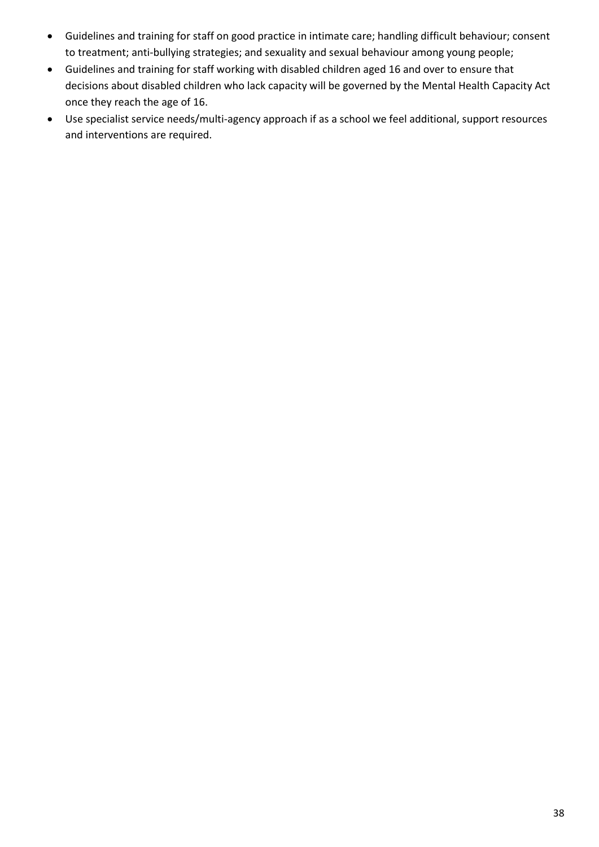- Guidelines and training for staff on good practice in intimate care; handling difficult behaviour; consent to treatment; anti-bullying strategies; and sexuality and sexual behaviour among young people;
- Guidelines and training for staff working with disabled children aged 16 and over to ensure that decisions about disabled children who lack capacity will be governed by the Mental Health Capacity Act once they reach the age of 16.
- Use specialist service needs/multi-agency approach if as a school we feel additional, support resources and interventions are required.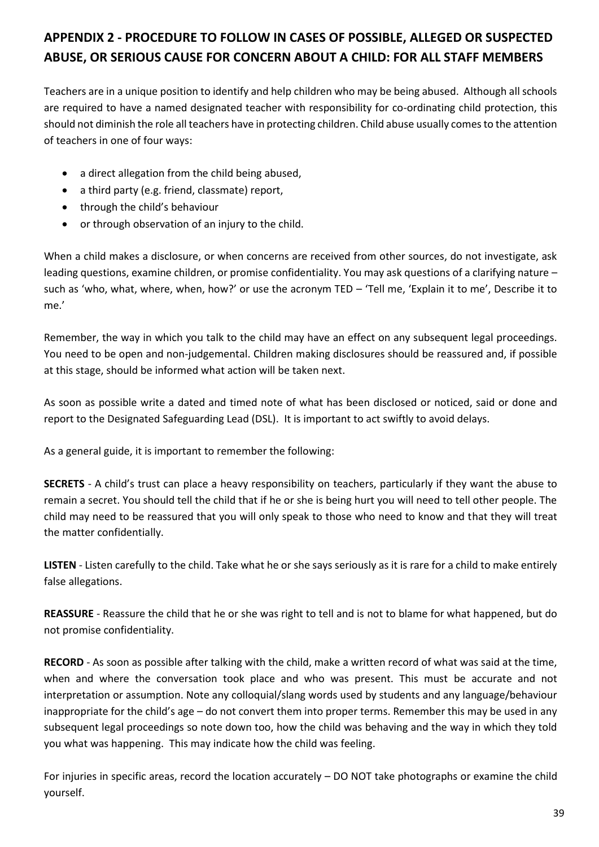# **APPENDIX 2 - PROCEDURE TO FOLLOW IN CASES OF POSSIBLE, ALLEGED OR SUSPECTED ABUSE, OR SERIOUS CAUSE FOR CONCERN ABOUT A CHILD: FOR ALL STAFF MEMBERS**

Teachers are in a unique position to identify and help children who may be being abused. Although all schools are required to have a named designated teacher with responsibility for co-ordinating child protection, this should not diminish the role all teachers have in protecting children. Child abuse usually comes to the attention of teachers in one of four ways:

- a direct allegation from the child being abused,
- a third party (e.g. friend, classmate) report,
- through the child's behaviour
- or through observation of an injury to the child.

When a child makes a disclosure, or when concerns are received from other sources, do not investigate, ask leading questions, examine children, or promise confidentiality. You may ask questions of a clarifying nature – such as 'who, what, where, when, how?' or use the acronym TED – 'Tell me, 'Explain it to me', Describe it to me.'

Remember, the way in which you talk to the child may have an effect on any subsequent legal proceedings. You need to be open and non-judgemental. Children making disclosures should be reassured and, if possible at this stage, should be informed what action will be taken next.

As soon as possible write a dated and timed note of what has been disclosed or noticed, said or done and report to the Designated Safeguarding Lead (DSL). It is important to act swiftly to avoid delays.

As a general guide, it is important to remember the following:

**SECRETS** - A child's trust can place a heavy responsibility on teachers, particularly if they want the abuse to remain a secret. You should tell the child that if he or she is being hurt you will need to tell other people. The child may need to be reassured that you will only speak to those who need to know and that they will treat the matter confidentially.

**LISTEN** - Listen carefully to the child. Take what he or she says seriously as it is rare for a child to make entirely false allegations.

**REASSURE** - Reassure the child that he or she was right to tell and is not to blame for what happened, but do not promise confidentiality.

**RECORD** - As soon as possible after talking with the child, make a written record of what was said at the time, when and where the conversation took place and who was present. This must be accurate and not interpretation or assumption. Note any colloquial/slang words used by students and any language/behaviour inappropriate for the child's age – do not convert them into proper terms. Remember this may be used in any subsequent legal proceedings so note down too, how the child was behaving and the way in which they told you what was happening. This may indicate how the child was feeling.

For injuries in specific areas, record the location accurately – DO NOT take photographs or examine the child yourself.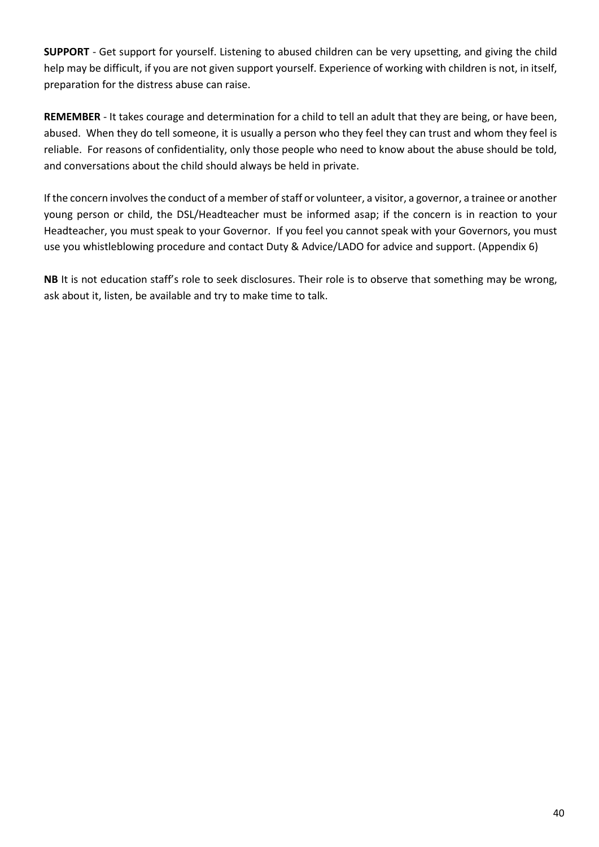**SUPPORT** - Get support for yourself. Listening to abused children can be very upsetting, and giving the child help may be difficult, if you are not given support yourself. Experience of working with children is not, in itself, preparation for the distress abuse can raise.

**REMEMBER** - It takes courage and determination for a child to tell an adult that they are being, or have been, abused. When they do tell someone, it is usually a person who they feel they can trust and whom they feel is reliable. For reasons of confidentiality, only those people who need to know about the abuse should be told, and conversations about the child should always be held in private.

If the concern involves the conduct of a member of staff or volunteer, a visitor, a governor, a trainee or another young person or child, the DSL/Headteacher must be informed asap; if the concern is in reaction to your Headteacher, you must speak to your Governor. If you feel you cannot speak with your Governors, you must use you whistleblowing procedure and contact Duty & Advice/LADO for advice and support. (Appendix 6)

**NB** It is not education staff's role to seek disclosures. Their role is to observe that something may be wrong, ask about it, listen, be available and try to make time to talk.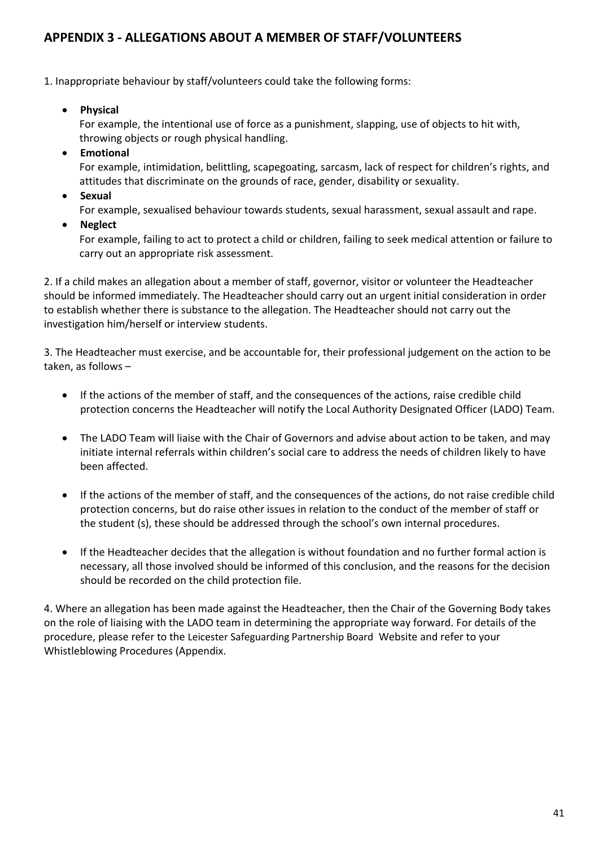## **APPENDIX 3 - ALLEGATIONS ABOUT A MEMBER OF STAFF/VOLUNTEERS**

1. Inappropriate behaviour by staff/volunteers could take the following forms:

• **Physical** 

For example, the intentional use of force as a punishment, slapping, use of objects to hit with, throwing objects or rough physical handling.

• **Emotional** 

For example, intimidation, belittling, scapegoating, sarcasm, lack of respect for children's rights, and attitudes that discriminate on the grounds of race, gender, disability or sexuality.

• **Sexual** 

For example, sexualised behaviour towards students, sexual harassment, sexual assault and rape.

• **Neglect** 

For example, failing to act to protect a child or children, failing to seek medical attention or failure to carry out an appropriate risk assessment.

2. If a child makes an allegation about a member of staff, governor, visitor or volunteer the Headteacher should be informed immediately. The Headteacher should carry out an urgent initial consideration in order to establish whether there is substance to the allegation. The Headteacher should not carry out the investigation him/herself or interview students.

3. The Headteacher must exercise, and be accountable for, their professional judgement on the action to be taken, as follows –

- If the actions of the member of staff, and the consequences of the actions, raise credible child protection concerns the Headteacher will notify the Local Authority Designated Officer (LADO) Team.
- The LADO Team will liaise with the Chair of Governors and advise about action to be taken, and may initiate internal referrals within children's social care to address the needs of children likely to have been affected.
- If the actions of the member of staff, and the consequences of the actions, do not raise credible child protection concerns, but do raise other issues in relation to the conduct of the member of staff or the student (s), these should be addressed through the school's own internal procedures.
- If the Headteacher decides that the allegation is without foundation and no further formal action is necessary, all those involved should be informed of this conclusion, and the reasons for the decision should be recorded on the child protection file.

4. Where an allegation has been made against the Headteacher, then the Chair of the Governing Body takes on the role of liaising with the LADO team in determining the appropriate way forward. For details of the procedure, please refer to the Leicester Safeguarding Partnership Board Website and refer to your Whistleblowing Procedures (Appendix.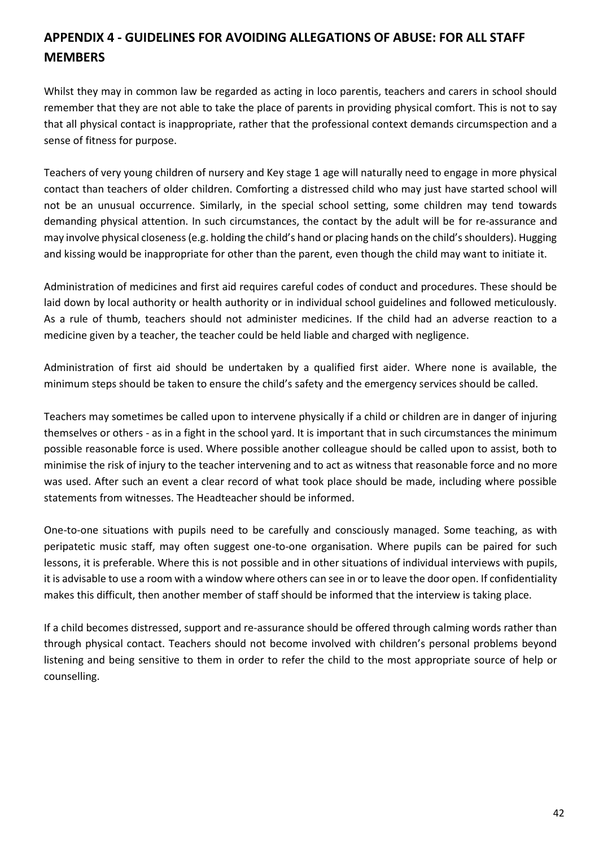# **APPENDIX 4 - GUIDELINES FOR AVOIDING ALLEGATIONS OF ABUSE: FOR ALL STAFF MEMBERS**

Whilst they may in common law be regarded as acting in loco parentis, teachers and carers in school should remember that they are not able to take the place of parents in providing physical comfort. This is not to say that all physical contact is inappropriate, rather that the professional context demands circumspection and a sense of fitness for purpose.

Teachers of very young children of nursery and Key stage 1 age will naturally need to engage in more physical contact than teachers of older children. Comforting a distressed child who may just have started school will not be an unusual occurrence. Similarly, in the special school setting, some children may tend towards demanding physical attention. In such circumstances, the contact by the adult will be for re-assurance and may involve physical closeness (e.g. holding the child's hand or placing hands on the child's shoulders). Hugging and kissing would be inappropriate for other than the parent, even though the child may want to initiate it.

Administration of medicines and first aid requires careful codes of conduct and procedures. These should be laid down by local authority or health authority or in individual school guidelines and followed meticulously. As a rule of thumb, teachers should not administer medicines. If the child had an adverse reaction to a medicine given by a teacher, the teacher could be held liable and charged with negligence.

Administration of first aid should be undertaken by a qualified first aider. Where none is available, the minimum steps should be taken to ensure the child's safety and the emergency services should be called.

Teachers may sometimes be called upon to intervene physically if a child or children are in danger of injuring themselves or others - as in a fight in the school yard. It is important that in such circumstances the minimum possible reasonable force is used. Where possible another colleague should be called upon to assist, both to minimise the risk of injury to the teacher intervening and to act as witness that reasonable force and no more was used. After such an event a clear record of what took place should be made, including where possible statements from witnesses. The Headteacher should be informed.

One-to-one situations with pupils need to be carefully and consciously managed. Some teaching, as with peripatetic music staff, may often suggest one-to-one organisation. Where pupils can be paired for such lessons, it is preferable. Where this is not possible and in other situations of individual interviews with pupils, it is advisable to use a room with a window where others can see in or to leave the door open. If confidentiality makes this difficult, then another member of staff should be informed that the interview is taking place.

If a child becomes distressed, support and re-assurance should be offered through calming words rather than through physical contact. Teachers should not become involved with children's personal problems beyond listening and being sensitive to them in order to refer the child to the most appropriate source of help or counselling.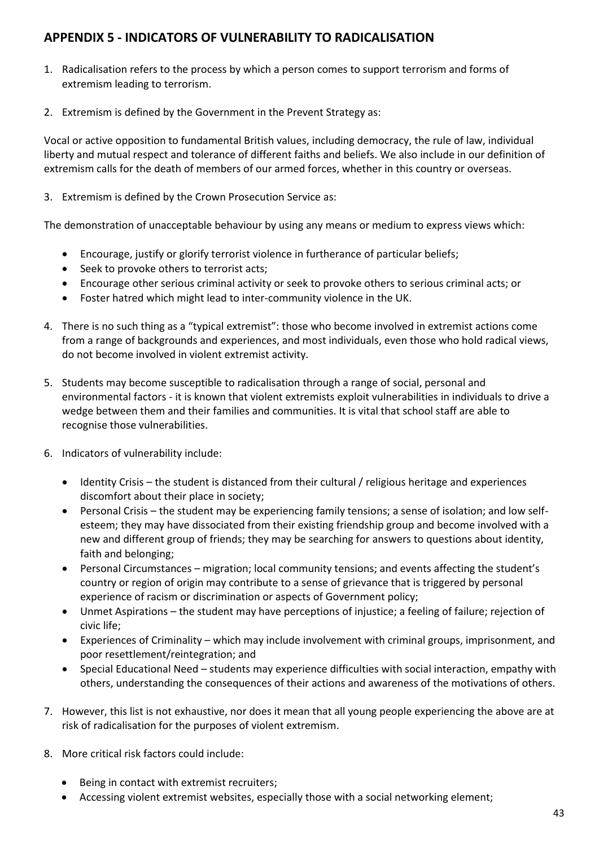## **APPENDIX 5 - INDICATORS OF VULNERABILITY TO RADICALISATION**

- 1. Radicalisation refers to the process by which a person comes to support terrorism and forms of extremism leading to terrorism.
- 2. Extremism is defined by the Government in the Prevent Strategy as:

Vocal or active opposition to fundamental British values, including democracy, the rule of law, individual liberty and mutual respect and tolerance of different faiths and beliefs. We also include in our definition of extremism calls for the death of members of our armed forces, whether in this country or overseas.

3. Extremism is defined by the Crown Prosecution Service as:

The demonstration of unacceptable behaviour by using any means or medium to express views which:

- Encourage, justify or glorify terrorist violence in furtherance of particular beliefs;
- Seek to provoke others to terrorist acts;
- Encourage other serious criminal activity or seek to provoke others to serious criminal acts; or
- Foster hatred which might lead to inter-community violence in the UK.
- 4. There is no such thing as a "typical extremist": those who become involved in extremist actions come from a range of backgrounds and experiences, and most individuals, even those who hold radical views, do not become involved in violent extremist activity.
- 5. Students may become susceptible to radicalisation through a range of social, personal and environmental factors - it is known that violent extremists exploit vulnerabilities in individuals to drive a wedge between them and their families and communities. It is vital that school staff are able to recognise those vulnerabilities.
- 6. Indicators of vulnerability include:
	- Identity Crisis the student is distanced from their cultural / religious heritage and experiences discomfort about their place in society;
	- Personal Crisis the student may be experiencing family tensions; a sense of isolation; and low selfesteem; they may have dissociated from their existing friendship group and become involved with a new and different group of friends; they may be searching for answers to questions about identity, faith and belonging;
	- Personal Circumstances migration; local community tensions; and events affecting the student's country or region of origin may contribute to a sense of grievance that is triggered by personal experience of racism or discrimination or aspects of Government policy;
	- Unmet Aspirations the student may have perceptions of injustice; a feeling of failure; rejection of civic life;
	- Experiences of Criminality which may include involvement with criminal groups, imprisonment, and poor resettlement/reintegration; and
	- Special Educational Need students may experience difficulties with social interaction, empathy with others, understanding the consequences of their actions and awareness of the motivations of others.
- 7. However, this list is not exhaustive, nor does it mean that all young people experiencing the above are at risk of radicalisation for the purposes of violent extremism.
- 8. More critical risk factors could include:
	- Being in contact with extremist recruiters;
	- Accessing violent extremist websites, especially those with a social networking element;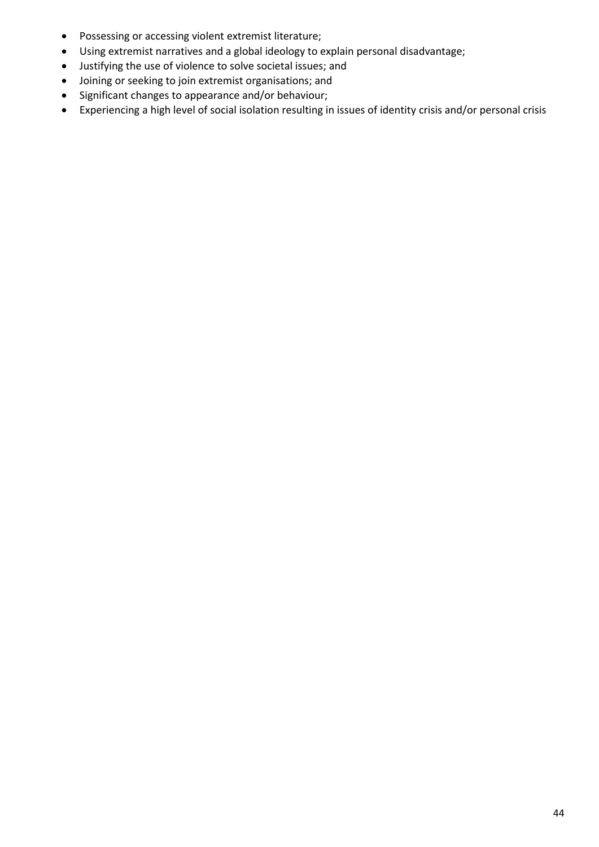- Possessing or accessing violent extremist literature;
- Using extremist narratives and a global ideology to explain personal disadvantage;
- Justifying the use of violence to solve societal issues; and
- Joining or seeking to join extremist organisations; and
- Significant changes to appearance and/or behaviour;
- Experiencing a high level of social isolation resulting in issues of identity crisis and/or personal crisis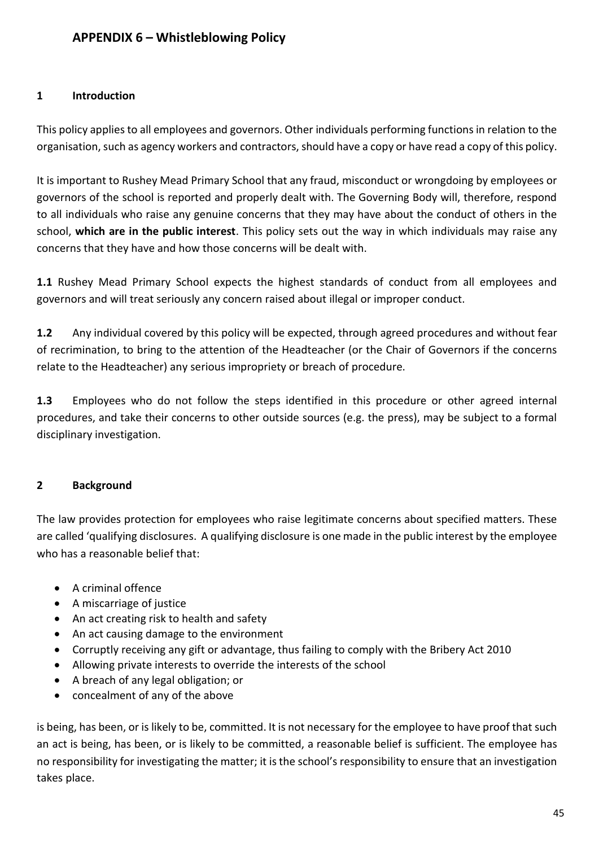### **1 Introduction**

This policy applies to all employees and governors. Other individuals performing functions in relation to the organisation, such as agency workers and contractors, should have a copy or have read a copy of this policy.

It is important to Rushey Mead Primary School that any fraud, misconduct or wrongdoing by employees or governors of the school is reported and properly dealt with. The Governing Body will, therefore, respond to all individuals who raise any genuine concerns that they may have about the conduct of others in the school, **which are in the public interest**. This policy sets out the way in which individuals may raise any concerns that they have and how those concerns will be dealt with.

**1.1** Rushey Mead Primary School expects the highest standards of conduct from all employees and governors and will treat seriously any concern raised about illegal or improper conduct.

**1.2** Any individual covered by this policy will be expected, through agreed procedures and without fear of recrimination, to bring to the attention of the Headteacher (or the Chair of Governors if the concerns relate to the Headteacher) any serious impropriety or breach of procedure.

**1.3** Employees who do not follow the steps identified in this procedure or other agreed internal procedures, and take their concerns to other outside sources (e.g. the press), may be subject to a formal disciplinary investigation.

## **2 Background**

The law provides protection for employees who raise legitimate concerns about specified matters. These are called 'qualifying disclosures. A qualifying disclosure is one made in the public interest by the employee who has a reasonable belief that:

- A criminal offence
- A miscarriage of justice
- An act creating risk to health and safety
- An act causing damage to the environment
- Corruptly receiving any gift or advantage, thus failing to comply with the Bribery Act 2010
- Allowing private interests to override the interests of the school
- A breach of any legal obligation; or
- concealment of any of the above

is being, has been, or is likely to be, committed. It is not necessary for the employee to have proof that such an act is being, has been, or is likely to be committed, a reasonable belief is sufficient. The employee has no responsibility for investigating the matter; it is the school's responsibility to ensure that an investigation takes place.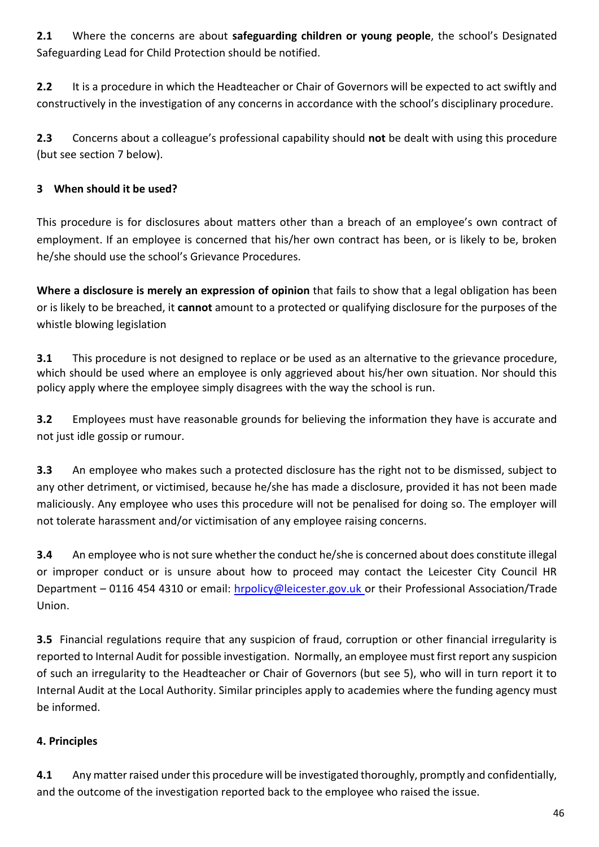**2.1** Where the concerns are about **safeguarding children or young people**, the school's Designated Safeguarding Lead for Child Protection should be notified.

**2.2** It is a procedure in which the Headteacher or Chair of Governors will be expected to act swiftly and constructively in the investigation of any concerns in accordance with the school's disciplinary procedure.

**2.3** Concerns about a colleague's professional capability should **not** be dealt with using this procedure (but see section 7 below).

## **3 When should it be used?**

This procedure is for disclosures about matters other than a breach of an employee's own contract of employment. If an employee is concerned that his/her own contract has been, or is likely to be, broken he/she should use the school's Grievance Procedures.

**Where a disclosure is merely an expression of opinion** that fails to show that a legal obligation has been or is likely to be breached, it **cannot** amount to a protected or qualifying disclosure for the purposes of the whistle blowing legislation

**3.1** This procedure is not designed to replace or be used as an alternative to the grievance procedure, which should be used where an employee is only aggrieved about his/her own situation. Nor should this policy apply where the employee simply disagrees with the way the school is run.

**3.2** Employees must have reasonable grounds for believing the information they have is accurate and not just idle gossip or rumour.

**3.3** An employee who makes such a protected disclosure has the right not to be dismissed, subject to any other detriment, or victimised, because he/she has made a disclosure, provided it has not been made maliciously. Any employee who uses this procedure will not be penalised for doing so. The employer will not tolerate harassment and/or victimisation of any employee raising concerns.

**3.4** An employee who is not sure whether the conduct he/she is concerned about does constitute illegal or improper conduct or is unsure about how to proceed may contact the Leicester City Council HR Department – 0116 454 4310 or email: [hrpolicy@leicester.gov.uk](mailto:hrpolicy@leicester.gov.uk) or their Professional Association/Trade Union.

**3.5** Financial regulations require that any suspicion of fraud, corruption or other financial irregularity is reported to Internal Audit for possible investigation. Normally, an employee must first report any suspicion of such an irregularity to the Headteacher or Chair of Governors (but see 5), who will in turn report it to Internal Audit at the Local Authority. Similar principles apply to academies where the funding agency must be informed.

## **4. Principles**

**4.1** Any matter raised under this procedure will be investigated thoroughly, promptly and confidentially, and the outcome of the investigation reported back to the employee who raised the issue.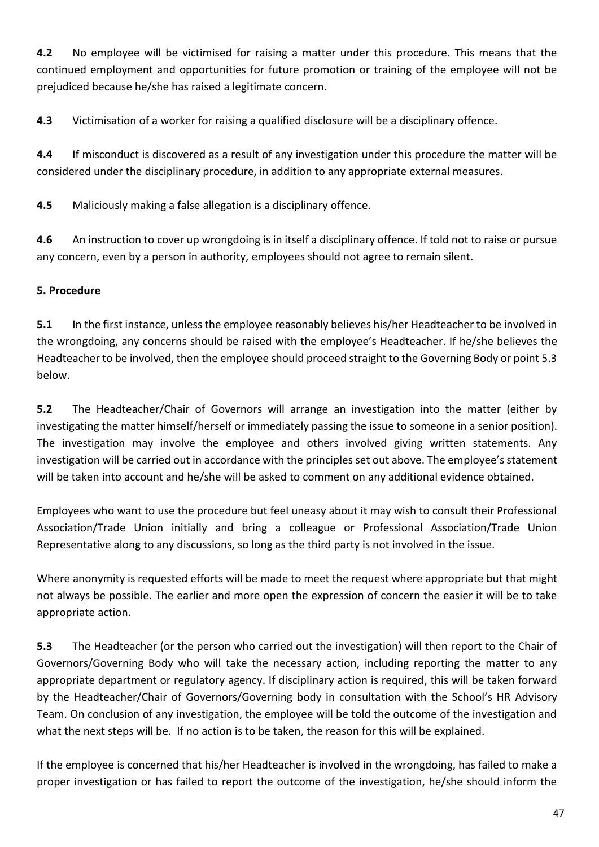**4.2** No employee will be victimised for raising a matter under this procedure. This means that the continued employment and opportunities for future promotion or training of the employee will not be prejudiced because he/she has raised a legitimate concern.

**4.3** Victimisation of a worker for raising a qualified disclosure will be a disciplinary offence.

**4.4** If misconduct is discovered as a result of any investigation under this procedure the matter will be considered under the disciplinary procedure, in addition to any appropriate external measures.

**4.5** Maliciously making a false allegation is a disciplinary offence.

**4.6** An instruction to cover up wrongdoing is in itself a disciplinary offence. If told not to raise or pursue any concern, even by a person in authority, employees should not agree to remain silent.

## **5. Procedure**

**5.1** In the first instance, unless the employee reasonably believes his/her Headteacher to be involved in the wrongdoing, any concerns should be raised with the employee's Headteacher. If he/she believes the Headteacher to be involved, then the employee should proceed straight to the Governing Body or point 5.3 below.

**5.2** The Headteacher/Chair of Governors will arrange an investigation into the matter (either by investigating the matter himself/herself or immediately passing the issue to someone in a senior position). The investigation may involve the employee and others involved giving written statements. Any investigation will be carried out in accordance with the principles set out above. The employee's statement will be taken into account and he/she will be asked to comment on any additional evidence obtained.

Employees who want to use the procedure but feel uneasy about it may wish to consult their Professional Association/Trade Union initially and bring a colleague or Professional Association/Trade Union Representative along to any discussions, so long as the third party is not involved in the issue.

Where anonymity is requested efforts will be made to meet the request where appropriate but that might not always be possible. The earlier and more open the expression of concern the easier it will be to take appropriate action.

**5.3** The Headteacher (or the person who carried out the investigation) will then report to the Chair of Governors/Governing Body who will take the necessary action, including reporting the matter to any appropriate department or regulatory agency. If disciplinary action is required, this will be taken forward by the Headteacher/Chair of Governors/Governing body in consultation with the School's HR Advisory Team. On conclusion of any investigation, the employee will be told the outcome of the investigation and what the next steps will be. If no action is to be taken, the reason for this will be explained.

If the employee is concerned that his/her Headteacher is involved in the wrongdoing, has failed to make a proper investigation or has failed to report the outcome of the investigation, he/she should inform the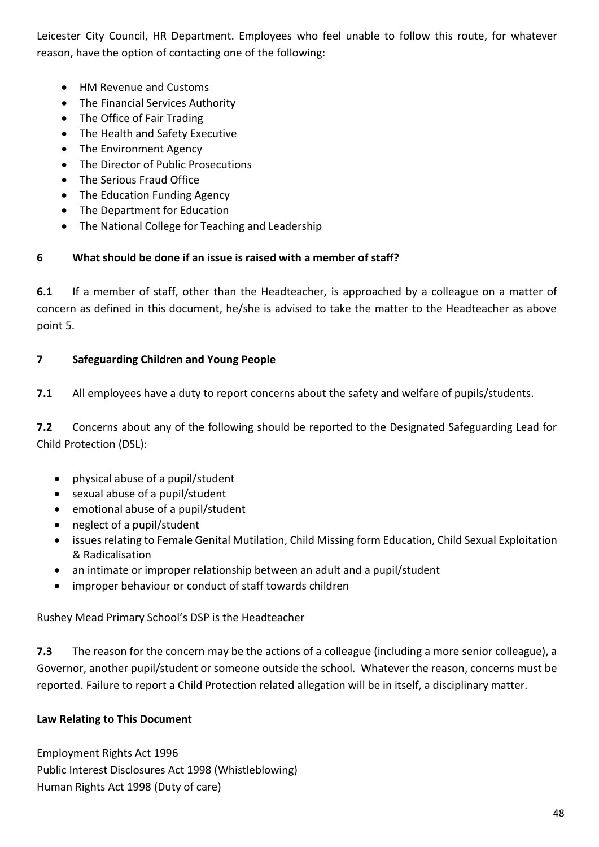Leicester City Council, HR Department. Employees who feel unable to follow this route, for whatever reason, have the option of contacting one of the following:

- HM Revenue and Customs
- The Financial Services Authority
- The Office of Fair Trading
- The Health and Safety Executive
- The Environment Agency
- The Director of Public Prosecutions
- The Serious Fraud Office
- The Education Funding Agency
- The Department for Education
- The National College for Teaching and Leadership

## **6 What should be done if an issue is raised with a member of staff?**

**6.1** If a member of staff, other than the Headteacher, is approached by a colleague on a matter of concern as defined in this document, he/she is advised to take the matter to the Headteacher as above point 5.

## **7 Safeguarding Children and Young People**

**7.1** All employees have a duty to report concerns about the safety and welfare of pupils/students.

**7.2** Concerns about any of the following should be reported to the Designated Safeguarding Lead for Child Protection (DSL):

- physical abuse of a pupil/student
- sexual abuse of a pupil/student
- emotional abuse of a pupil/student
- neglect of a pupil/student
- issues relating to Female Genital Mutilation, Child Missing form Education, Child Sexual Exploitation & Radicalisation
- an intimate or improper relationship between an adult and a pupil/student
- improper behaviour or conduct of staff towards children

Rushey Mead Primary School's DSP is the Headteacher

**7.3** The reason for the concern may be the actions of a colleague (including a more senior colleague), a Governor, another pupil/student or someone outside the school. Whatever the reason, concerns must be reported. Failure to report a Child Protection related allegation will be in itself, a disciplinary matter.

## **Law Relating to This Document**

Employment Rights Act 1996 Public Interest Disclosures Act 1998 (Whistleblowing) Human Rights Act 1998 (Duty of care)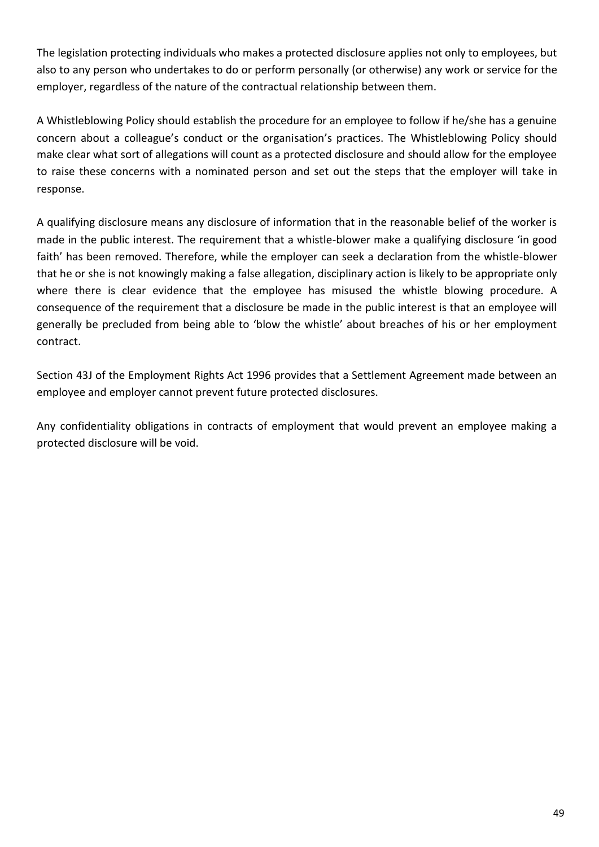The legislation protecting individuals who makes a protected disclosure applies not only to employees, but also to any person who undertakes to do or perform personally (or otherwise) any work or service for the employer, regardless of the nature of the contractual relationship between them.

A Whistleblowing Policy should establish the procedure for an employee to follow if he/she has a genuine concern about a colleague's conduct or the organisation's practices. The Whistleblowing Policy should make clear what sort of allegations will count as a protected disclosure and should allow for the employee to raise these concerns with a nominated person and set out the steps that the employer will take in response.

A qualifying disclosure means any disclosure of information that in the reasonable belief of the worker is made in the public interest. The requirement that a whistle-blower make a qualifying disclosure 'in good faith' has been removed. Therefore, while the employer can seek a declaration from the whistle-blower that he or she is not knowingly making a false allegation, disciplinary action is likely to be appropriate only where there is clear evidence that the employee has misused the whistle blowing procedure. A consequence of the requirement that a disclosure be made in the public interest is that an employee will generally be precluded from being able to 'blow the whistle' about breaches of his or her employment contract.

Section 43J of the Employment Rights Act 1996 provides that a Settlement Agreement made between an employee and employer cannot prevent future protected disclosures.

Any confidentiality obligations in contracts of employment that would prevent an employee making a protected disclosure will be void.